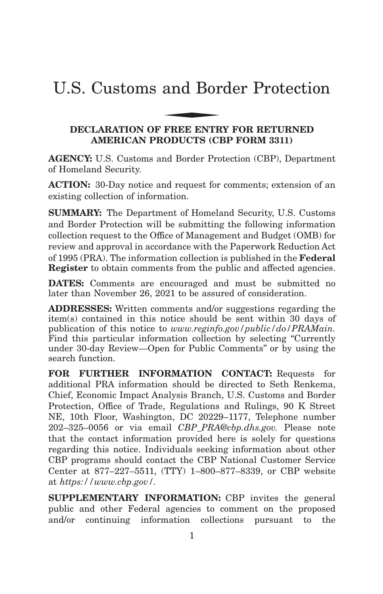# U.S. Customs and Border Protection and Bor

#### **DECLARATION OF FREE ENTRY FOR RETURNED AMERICAN PRODUCTS (CBP FORM 3311)**

**AGENCY:** U.S. Customs and Border Protection (CBP), Department of Homeland Security.

**ACTION:** 30-Day notice and request for comments; extension of an existing collection of information.

**SUMMARY:** The Department of Homeland Security, U.S. Customs and Border Protection will be submitting the following information collection request to the Office of Management and Budget (OMB) for review and approval in accordance with the Paperwork Reduction Act of 1995 (PRA). The information collection is published in the **Federal Register** to obtain comments from the public and affected agencies.

**DATES:** Comments are encouraged and must be submitted no later than November 26, 2021 to be assured of consideration.

**ADDRESSES:** Written comments and/or suggestions regarding the item(s) contained in this notice should be sent within 30 days of publication of this notice to *www.reginfo.gov/public/do/PRAMain.* Find this particular information collection by selecting ''Currently under 30-day Review—Open for Public Comments'' or by using the search function.

**FOR FURTHER INFORMATION CONTACT:** Requests for additional PRA information should be directed to Seth Renkema, Chief, Economic Impact Analysis Branch, U.S. Customs and Border Protection, Office of Trade, Regulations and Rulings, 90 K Street NE, 10th Floor, Washington, DC 20229–1177, Telephone number 202–325–0056 or via email *CBP\_PRA@cbp.dhs.gov.* Please note that the contact information provided here is solely for questions regarding this notice. Individuals seeking information about other CBP programs should contact the CBP National Customer Service Center at 877–227–5511, (TTY) 1–800–877–8339, or CBP website at *https://www.cbp.gov/.*

**SUPPLEMENTARY INFORMATION:** CBP invites the general public and other Federal agencies to comment on the proposed and/or continuing information collections pursuant to the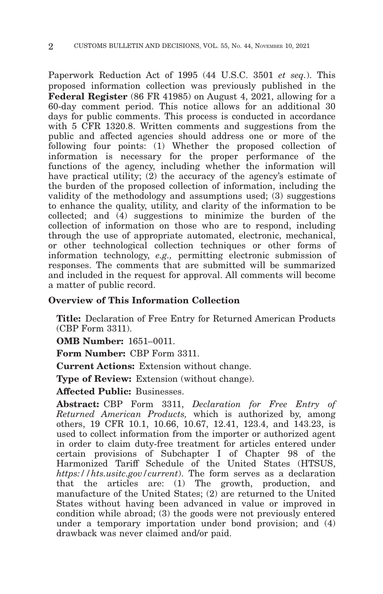Paperwork Reduction Act of 1995 (44 U.S.C. 3501 *et seq.*). This proposed information collection was previously published in the **Federal Register** (86 FR 41985) on August 4, 2021, allowing for a 60-day comment period. This notice allows for an additional 30 days for public comments. This process is conducted in accordance with 5 CFR 1320.8. Written comments and suggestions from the public and affected agencies should address one or more of the following four points: (1) Whether the proposed collection of information is necessary for the proper performance of the functions of the agency, including whether the information will have practical utility; (2) the accuracy of the agency's estimate of the burden of the proposed collection of information, including the validity of the methodology and assumptions used; (3) suggestions to enhance the quality, utility, and clarity of the information to be collected; and (4) suggestions to minimize the burden of the collection of information on those who are to respond, including through the use of appropriate automated, electronic, mechanical, or other technological collection techniques or other forms of information technology, *e.g.,* permitting electronic submission of responses. The comments that are submitted will be summarized and included in the request for approval. All comments will become a matter of public record.

#### **Overview of This Information Collection**

**Title:** Declaration of Free Entry for Returned American Products (CBP Form 3311).

**OMB Number:** 1651–0011.

**Form Number:** CBP Form 3311.

**Current Actions:** Extension without change.

**Type of Review:** Extension (without change).

**Affected Public:** Businesses.

**Abstract:** CBP Form 3311, *Declaration for Free Entry of Returned American Products,* which is authorized by, among others, 19 CFR 10.1, 10.66, 10.67, 12.41, 123.4, and 143.23, is used to collect information from the importer or authorized agent in order to claim duty-free treatment for articles entered under certain provisions of Subchapter I of Chapter 98 of the Harmonized Tariff Schedule of the United States (HTSUS, *https://hts.usitc.gov/current*). The form serves as a declaration that the articles are: (1) The growth, production, and manufacture of the United States; (2) are returned to the United States without having been advanced in value or improved in condition while abroad; (3) the goods were not previously entered under a temporary importation under bond provision; and (4) drawback was never claimed and/or paid.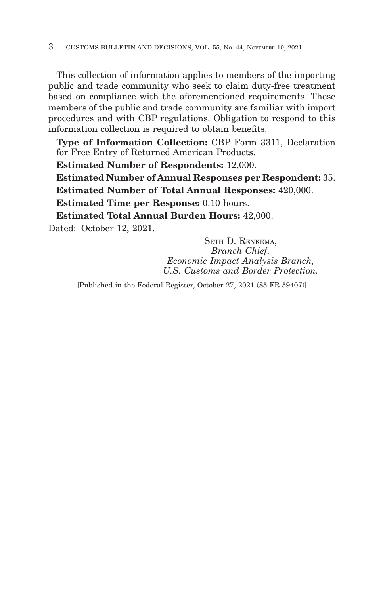This collection of information applies to members of the importing public and trade community who seek to claim duty-free treatment based on compliance with the aforementioned requirements. These members of the public and trade community are familiar with import procedures and with CBP regulations. Obligation to respond to this information collection is required to obtain benefits.

**Type of Information Collection:** CBP Form 3311, Declaration for Free Entry of Returned American Products.

**Estimated Number of Respondents:** 12,000.

**Estimated Number of Annual Responses per Respondent:** 35. **Estimated Number of Total Annual Responses:** 420,000.

**Estimated Time per Response:** 0.10 hours.

**Estimated Total Annual Burden Hours:** 42,000.

Dated: October 12, 2021.

SETH D. RENKEMA, *Branch Chief, Economic Impact Analysis Branch, U.S. Customs and Border Protection.*

[Published in the Federal Register, October 27, 2021 (85 FR 59407)]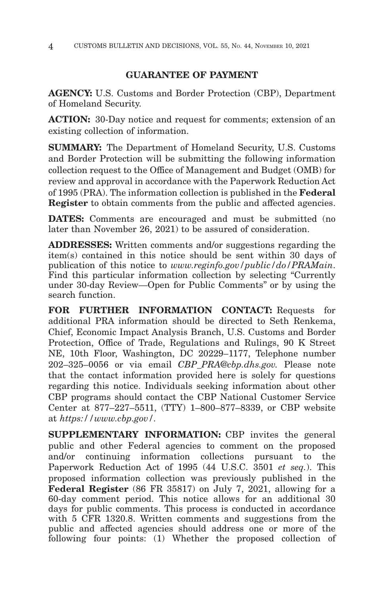### **GUARANTEE OF PAYMENT**

**AGENCY:** U.S. Customs and Border Protection (CBP), Department of Homeland Security.

**ACTION:** 30-Day notice and request for comments; extension of an existing collection of information.

**SUMMARY:** The Department of Homeland Security, U.S. Customs and Border Protection will be submitting the following information collection request to the Office of Management and Budget (OMB) for review and approval in accordance with the Paperwork Reduction Act of 1995 (PRA). The information collection is published in the **Federal Register** to obtain comments from the public and affected agencies.

**DATES:** Comments are encouraged and must be submitted (no later than November 26, 2021) to be assured of consideration.

**ADDRESSES:** Written comments and/or suggestions regarding the item(s) contained in this notice should be sent within 30 days of publication of this notice to *www.reginfo.gov/public/do/PRAMain*. Find this particular information collection by selecting "Currently" under 30-day Review—Open for Public Comments'' or by using the search function.

**FOR FURTHER INFORMATION CONTACT:** Requests for additional PRA information should be directed to Seth Renkema, Chief, Economic Impact Analysis Branch, U.S. Customs and Border Protection, Office of Trade, Regulations and Rulings, 90 K Street NE, 10th Floor, Washington, DC 20229–1177, Telephone number 202–325–0056 or via email *CBP\_PRA@cbp.dhs.gov.* Please note that the contact information provided here is solely for questions regarding this notice. Individuals seeking information about other CBP programs should contact the CBP National Customer Service Center at 877–227–5511, (TTY) 1–800–877–8339, or CBP website at *https://www.cbp.gov/.*

**SUPPLEMENTARY INFORMATION:** CBP invites the general public and other Federal agencies to comment on the proposed and/or continuing information collections pursuant to the Paperwork Reduction Act of 1995 (44 U.S.C. 3501 *et seq.*). This proposed information collection was previously published in the **Federal Register** (86 FR 35817) on July 7, 2021, allowing for a 60-day comment period. This notice allows for an additional 30 days for public comments. This process is conducted in accordance with 5 CFR 1320.8. Written comments and suggestions from the public and affected agencies should address one or more of the following four points: (1) Whether the proposed collection of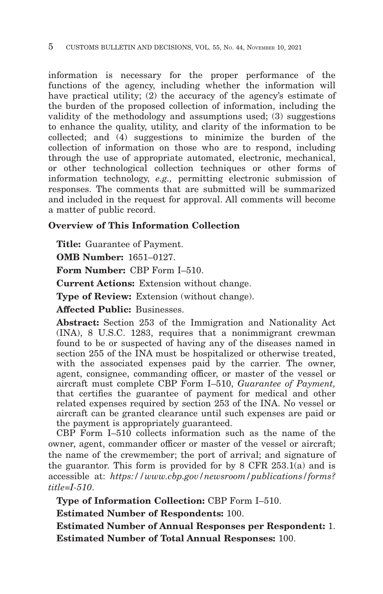information is necessary for the proper performance of the functions of the agency, including whether the information will have practical utility; (2) the accuracy of the agency's estimate of the burden of the proposed collection of information, including the validity of the methodology and assumptions used; (3) suggestions to enhance the quality, utility, and clarity of the information to be collected; and (4) suggestions to minimize the burden of the collection of information on those who are to respond, including through the use of appropriate automated, electronic, mechanical, or other technological collection techniques or other forms of information technology, *e.g.,* permitting electronic submission of responses. The comments that are submitted will be summarized and included in the request for approval. All comments will become a matter of public record.

#### **Overview of This Information Collection**

**Title:** Guarantee of Payment.

**OMB Number:** 1651–0127.

**Form Number:** CBP Form I–510.

**Current Actions:** Extension without change.

**Type of Review:** Extension (without change).

**Affected Public:** Businesses.

**Abstract:** Section 253 of the Immigration and Nationality Act (INA), 8 U.S.C. 1283, requires that a nonimmigrant crewman found to be or suspected of having any of the diseases named in section 255 of the INA must be hospitalized or otherwise treated, with the associated expenses paid by the carrier. The owner, agent, consignee, commanding officer, or master of the vessel or aircraft must complete CBP Form I–510, *Guarantee of Payment,* that certifies the guarantee of payment for medical and other related expenses required by section 253 of the INA. No vessel or aircraft can be granted clearance until such expenses are paid or the payment is appropriately guaranteed.

CBP Form I–510 collects information such as the name of the owner, agent, commander officer or master of the vessel or aircraft; the name of the crewmember; the port of arrival; and signature of the guarantor. This form is provided for by 8 CFR 253.1(a) and is accessible at: *https://www.cbp.gov/newsroom/publications/forms? title=I-510*.

**Type of Information Collection:** CBP Form I–510.

**Estimated Number of Respondents:** 100.

**Estimated Number of Annual Responses per Respondent:** 1. **Estimated Number of Total Annual Responses:** 100.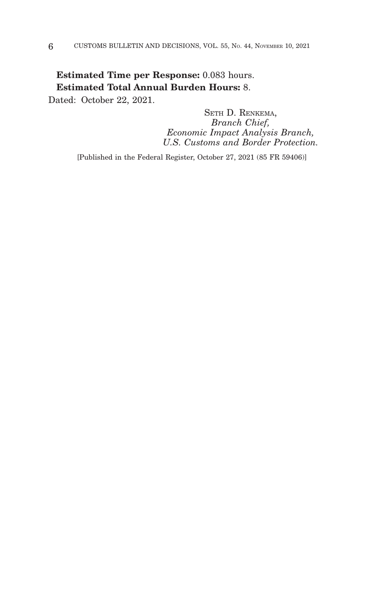### **Estimated Time per Response:** 0.083 hours. **Estimated Total Annual Burden Hours:** 8.

Dated: October 22, 2021.

SETH D. RENKEMA, *Branch Chief, Economic Impact Analysis Branch, U.S. Customs and Border Protection.*

[Published in the Federal Register, October 27, 2021 (85 FR 59406)]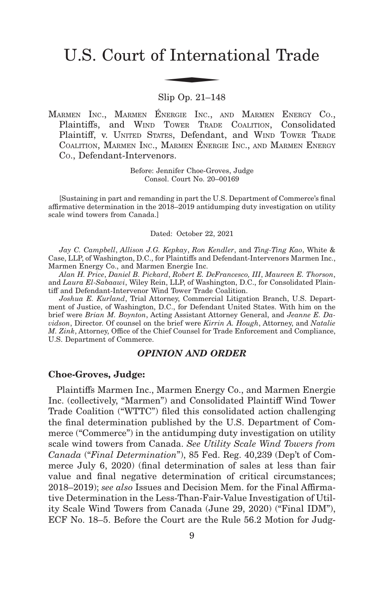# U.S. Court of International Trade f Interna

Slip Op. 21–148

MARMEN INC., MARMEN ÉNERGIE INC., AND MARMEN ENERGY CO., Plaintiffs, and WIND TOWER TRADE COALITION, Consolidated Plaintiff, v. UNITED STATES, Defendant, and WIND TOWER TRADE COALITION, MARMEN INC., MARMEN ÉNERGIE INC., AND MARMEN ENERGY CO., Defendant-Intervenors.

> Before: Jennifer Choe-Groves, Judge Consol. Court No. 20–00169

[Sustaining in part and remanding in part the U.S. Department of Commerce's final affirmative determination in the 2018–2019 antidumping duty investigation on utility scale wind towers from Canada.]

Dated: October 22, 2021

*Jay C. Campbell*, *Allison J.G. Kepkay*, *Ron Kendler*, and *Ting-Ting Kao*, White & Case, LLP, of Washington, D.C., for Plaintiffs and Defendant-Intervenors Marmen Inc., Marmen Energy Co., and Marmen Energie Inc.

*Alan H. Price*, *Daniel B. Pickard*, *Robert E. DeFrancesco, III*, *Maureen E. Thorson*, and *Laura El-Sabaawi*, Wiley Rein, LLP, of Washington, D.C., for Consolidated Plaintiff and Defendant-Intervenor Wind Tower Trade Coalition.

*Joshua E. Kurland*, Trial Attorney, Commercial Litigation Branch, U.S. Department of Justice, of Washington, D.C., for Defendant United States. With him on the brief were *Brian M. Boynton*, Acting Assistant Attorney General, and *Jeanne E. Davidson*, Director. Of counsel on the brief were *Kirrin A. Hough*, Attorney, and *Natalie M. Zink*, Attorney, Office of the Chief Counsel for Trade Enforcement and Compliance, U.S. Department of Commerce.

#### *OPINION AND ORDER*

#### **Choe-Groves, Judge:**

Plaintiffs Marmen Inc., Marmen Energy Co., and Marmen Energie Inc. (collectively, "Marmen") and Consolidated Plaintiff Wind Tower Trade Coalition ("WTTC") filed this consolidated action challenging the final determination published by the U.S. Department of Commerce ("Commerce") in the antidumping duty investigation on utility scale wind towers from Canada. *See Utility Scale Wind Towers from Canada* ("*Final Determination*"), 85 Fed. Reg. 40,239 (Dep't of Commerce July 6, 2020) (final determination of sales at less than fair value and final negative determination of critical circumstances; 2018–2019); *see also* Issues and Decision Mem. for the Final Affirmative Determination in the Less-Than-Fair-Value Investigation of Utility Scale Wind Towers from Canada (June 29, 2020) ("Final IDM"), ECF No. 18–5. Before the Court are the Rule 56.2 Motion for Judg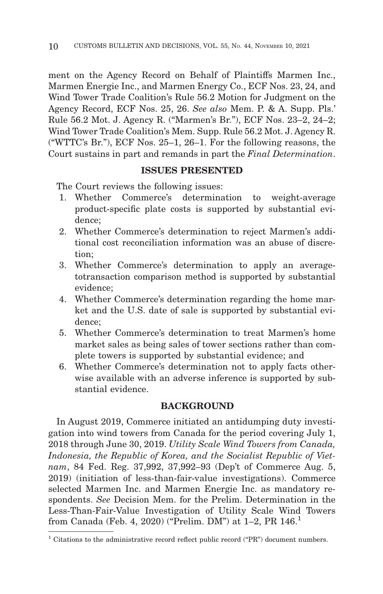ment on the Agency Record on Behalf of Plaintiffs Marmen Inc., Marmen Energie Inc., and Marmen Energy Co., ECF Nos. 23, 24, and Wind Tower Trade Coalition's Rule 56.2 Motion for Judgment on the Agency Record, ECF Nos. 25, 26. *See also* Mem. P. & A. Supp. Pls.' Rule 56.2 Mot. J. Agency R. ("Marmen's Br."), ECF Nos. 23–2, 24–2; Wind Tower Trade Coalition's Mem. Supp. Rule 56.2 Mot. J. Agency R. ("WTTC's Br."), ECF Nos. 25–1, 26–1. For the following reasons, the Court sustains in part and remands in part the *Final Determination*.

#### **ISSUES PRESENTED**

The Court reviews the following issues:

- 1. Whether Commerce's determination to weight-average product-specific plate costs is supported by substantial evidence;
- 2. Whether Commerce's determination to reject Marmen's additional cost reconciliation information was an abuse of discretion;
- 3. Whether Commerce's determination to apply an averagetotransaction comparison method is supported by substantial evidence;
- 4. Whether Commerce's determination regarding the home market and the U.S. date of sale is supported by substantial evidence;
- 5. Whether Commerce's determination to treat Marmen's home market sales as being sales of tower sections rather than complete towers is supported by substantial evidence; and
- 6. Whether Commerce's determination not to apply facts otherwise available with an adverse inference is supported by substantial evidence.

#### **BACKGROUND**

In August 2019, Commerce initiated an antidumping duty investigation into wind towers from Canada for the period covering July 1, 2018 through June 30, 2019. *Utility Scale Wind Towers from Canada, Indonesia, the Republic of Korea, and the Socialist Republic of Vietnam*, 84 Fed. Reg. 37,992, 37,992–93 (Dep't of Commerce Aug. 5, 2019) (initiation of less-than-fair-value investigations). Commerce selected Marmen Inc. and Marmen Energie Inc. as mandatory respondents. *See* Decision Mem. for the Prelim. Determination in the Less-Than-Fair-Value Investigation of Utility Scale Wind Towers from Canada (Feb. 4, 2020) ("Prelim. DM") at 1–2, PR 146.1

<sup>&</sup>lt;sup>1</sup> Citations to the administrative record reflect public record ( $P\llsub>FR$ ) document numbers.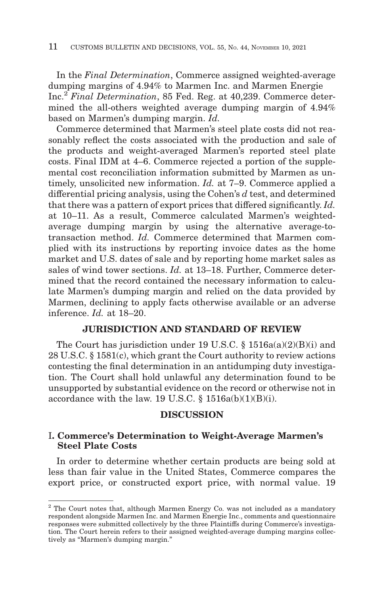In the *Final Determination*, Commerce assigned weighted-average dumping margins of 4.94% to Marmen Inc. and Marmen Energie Inc.2 *Final Determination*, 85 Fed. Reg. at 40,239. Commerce determined the all-others weighted average dumping margin of 4.94% based on Marmen's dumping margin. *Id.*

Commerce determined that Marmen's steel plate costs did not reasonably reflect the costs associated with the production and sale of the products and weight-averaged Marmen's reported steel plate costs. Final IDM at 4–6. Commerce rejected a portion of the supplemental cost reconciliation information submitted by Marmen as untimely, unsolicited new information. *Id.* at 7–9. Commerce applied a differential pricing analysis, using the Cohen's *d* test, and determined that there was a pattern of export prices that differed significantly. *Id.* at 10–11. As a result, Commerce calculated Marmen's weightedaverage dumping margin by using the alternative average-totransaction method. *Id.* Commerce determined that Marmen complied with its instructions by reporting invoice dates as the home market and U.S. dates of sale and by reporting home market sales as sales of wind tower sections. *Id.* at 13–18. Further, Commerce determined that the record contained the necessary information to calculate Marmen's dumping margin and relied on the data provided by Marmen, declining to apply facts otherwise available or an adverse inference. *Id.* at 18–20.

#### **JURISDICTION AND STANDARD OF REVIEW**

The Court has jurisdiction under 19 U.S.C. § 1516a(a)(2)(B)(i) and 28 U.S.C. § 1581(c), which grant the Court authority to review actions contesting the final determination in an antidumping duty investigation. The Court shall hold unlawful any determination found to be unsupported by substantial evidence on the record or otherwise not in accordance with the law. 19 U.S.C.  $\S$  1516a(b)(1)(B)(i).

#### **DISCUSSION**

#### I**. Commerce's Determination to Weight-Average Marmen's Steel Plate Costs**

In order to determine whether certain products are being sold at less than fair value in the United States, Commerce compares the export price, or constructed export price, with normal value. 19

<sup>&</sup>lt;sup>2</sup> The Court notes that, although Marmen Energy Co. was not included as a mandatory respondent alongside Marmen Inc. and Marmen Energie Inc., comments and questionnaire responses were submitted collectively by the three Plaintiffs during Commerce's investigation. The Court herein refers to their assigned weighted-average dumping margins collectively as "Marmen's dumping margin."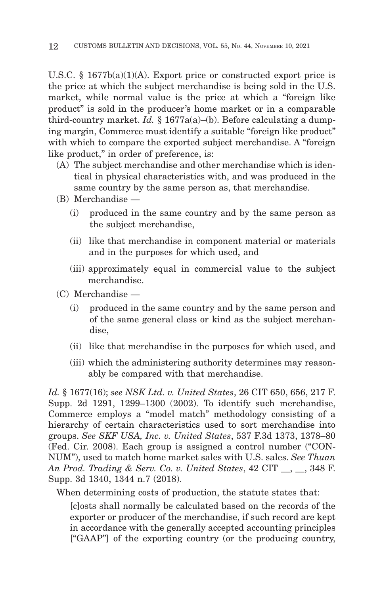U.S.C. § 1677b(a)(1)(A). Export price or constructed export price is the price at which the subject merchandise is being sold in the U.S. market, while normal value is the price at which a "foreign like product" is sold in the producer's home market or in a comparable third-country market. *Id.* § 1677a(a)–(b). Before calculating a dumping margin, Commerce must identify a suitable "foreign like product" with which to compare the exported subject merchandise. A "foreign like product," in order of preference, is:

- (A) The subject merchandise and other merchandise which is identical in physical characteristics with, and was produced in the same country by the same person as, that merchandise.
- (B) Merchandise
	- (i) produced in the same country and by the same person as the subject merchandise,
	- (ii) like that merchandise in component material or materials and in the purposes for which used, and
	- (iii) approximately equal in commercial value to the subject merchandise.
- (C) Merchandise
	- (i) produced in the same country and by the same person and of the same general class or kind as the subject merchandise,
	- (ii) like that merchandise in the purposes for which used, and
	- (iii) which the administering authority determines may reasonably be compared with that merchandise.

*Id.* § 1677(16); *see NSK Ltd. v. United States*, 26 CIT 650, 656, 217 F. Supp. 2d 1291, 1299–1300 (2002). To identify such merchandise, Commerce employs a "model match" methodology consisting of a hierarchy of certain characteristics used to sort merchandise into groups. *See SKF USA, Inc. v. United States*, 537 F.3d 1373, 1378–80 (Fed. Cir. 2008). Each group is assigned a control number ("CON-NUM"), used to match home market sales with U.S. sales. *See Thuan An Prod. Trading & Serv. Co. v. United States*, 42 CIT \_\_, \_\_, 348 F. Supp. 3d 1340, 1344 n.7 (2018).

When determining costs of production, the statute states that:

[c]osts shall normally be calculated based on the records of the exporter or producer of the merchandise, if such record are kept in accordance with the generally accepted accounting principles ["GAAP"] of the exporting country (or the producing country,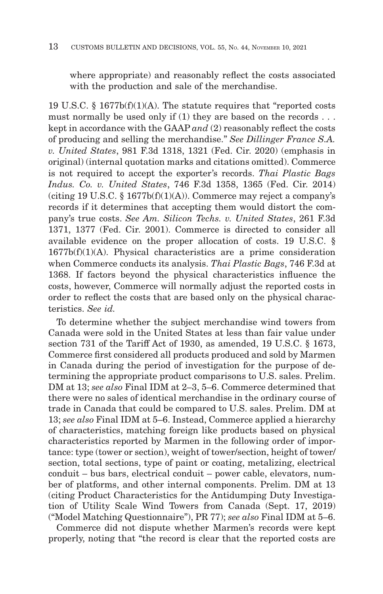where appropriate) and reasonably reflect the costs associated with the production and sale of the merchandise.

19 U.S.C. § 1677b(f)(1)(A). The statute requires that "reported costs must normally be used only if (1) they are based on the records . . . kept in accordance with the GAAP *and* (2) reasonably reflect the costs of producing and selling the merchandise." *See Dillinger France S.A. v. United States*, 981 F.3d 1318, 1321 (Fed. Cir. 2020) (emphasis in original) (internal quotation marks and citations omitted). Commerce is not required to accept the exporter's records. *Thai Plastic Bags Indus. Co. v. United States*, 746 F.3d 1358, 1365 (Fed. Cir. 2014) (citing 19 U.S.C.  $\S 1677b(f)(1)(A)$ ). Commerce may reject a company's records if it determines that accepting them would distort the company's true costs. *See Am. Silicon Techs. v. United States*, 261 F.3d 1371, 1377 (Fed. Cir. 2001). Commerce is directed to consider all available evidence on the proper allocation of costs. 19 U.S.C. §  $1677b(f)(1)(A)$ . Physical characteristics are a prime consideration when Commerce conducts its analysis. *Thai Plastic Bags*, 746 F.3d at 1368. If factors beyond the physical characteristics influence the costs, however, Commerce will normally adjust the reported costs in order to reflect the costs that are based only on the physical characteristics. *See id.*

To determine whether the subject merchandise wind towers from Canada were sold in the United States at less than fair value under section 731 of the Tariff Act of 1930, as amended, 19 U.S.C. § 1673, Commerce first considered all products produced and sold by Marmen in Canada during the period of investigation for the purpose of determining the appropriate product comparisons to U.S. sales. Prelim. DM at 13; *see also* Final IDM at 2–3, 5–6. Commerce determined that there were no sales of identical merchandise in the ordinary course of trade in Canada that could be compared to U.S. sales. Prelim. DM at 13; *see also* Final IDM at 5–6. Instead, Commerce applied a hierarchy of characteristics, matching foreign like products based on physical characteristics reported by Marmen in the following order of importance: type (tower or section), weight of tower/section, height of tower/ section, total sections, type of paint or coating, metalizing, electrical conduit – bus bars, electrical conduit – power cable, elevators, number of platforms, and other internal components. Prelim. DM at 13 (citing Product Characteristics for the Antidumping Duty Investigation of Utility Scale Wind Towers from Canada (Sept. 17, 2019) ("Model Matching Questionnaire"), PR 77); *see also* Final IDM at 5–6.

Commerce did not dispute whether Marmen's records were kept properly, noting that "the record is clear that the reported costs are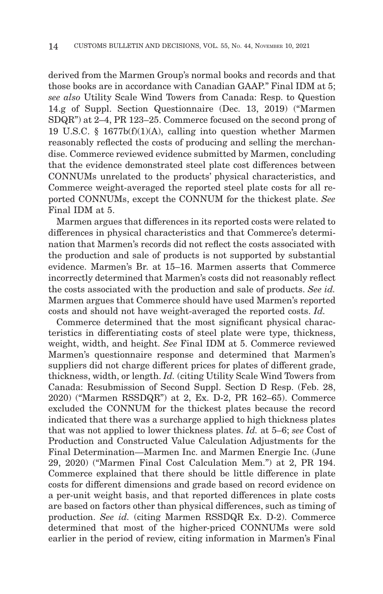derived from the Marmen Group's normal books and records and that those books are in accordance with Canadian GAAP." Final IDM at 5; *see also* Utility Scale Wind Towers from Canada: Resp. to Question 14.g of Suppl. Section Questionnaire (Dec. 13, 2019) ("Marmen SDQR") at 2–4, PR 123–25. Commerce focused on the second prong of 19 U.S.C. § 1677b(f)(1)(A), calling into question whether Marmen reasonably reflected the costs of producing and selling the merchandise. Commerce reviewed evidence submitted by Marmen, concluding that the evidence demonstrated steel plate cost differences between CONNUMs unrelated to the products' physical characteristics, and Commerce weight-averaged the reported steel plate costs for all reported CONNUMs, except the CONNUM for the thickest plate. *See* Final IDM at 5.

Marmen argues that differences in its reported costs were related to differences in physical characteristics and that Commerce's determination that Marmen's records did not reflect the costs associated with the production and sale of products is not supported by substantial evidence. Marmen's Br. at 15–16. Marmen asserts that Commerce incorrectly determined that Marmen's costs did not reasonably reflect the costs associated with the production and sale of products. *See id.* Marmen argues that Commerce should have used Marmen's reported costs and should not have weight-averaged the reported costs. *Id.*

Commerce determined that the most significant physical characteristics in differentiating costs of steel plate were type, thickness, weight, width, and height. *See* Final IDM at 5. Commerce reviewed Marmen's questionnaire response and determined that Marmen's suppliers did not charge different prices for plates of different grade, thickness, width, or length. *Id.* (citing Utility Scale Wind Towers from Canada: Resubmission of Second Suppl. Section D Resp. (Feb. 28, 2020) ("Marmen RSSDQR") at 2, Ex. D-2, PR 162–65). Commerce excluded the CONNUM for the thickest plates because the record indicated that there was a surcharge applied to high thickness plates that was not applied to lower thickness plates. *Id.* at 5–6; *see* Cost of Production and Constructed Value Calculation Adjustments for the Final Determination—Marmen Inc. and Marmen Energie Inc. (June 29, 2020) ("Marmen Final Cost Calculation Mem.") at 2, PR 194. Commerce explained that there should be little difference in plate costs for different dimensions and grade based on record evidence on a per-unit weight basis, and that reported differences in plate costs are based on factors other than physical differences, such as timing of production. *See id.* (citing Marmen RSSDQR Ex. D-2). Commerce determined that most of the higher-priced CONNUMs were sold earlier in the period of review, citing information in Marmen's Final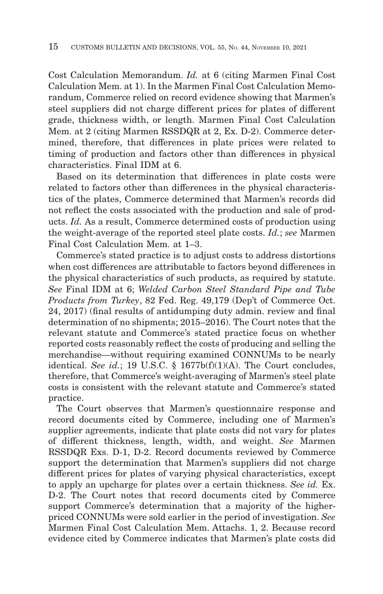Cost Calculation Memorandum. *Id.* at 6 (citing Marmen Final Cost Calculation Mem. at 1). In the Marmen Final Cost Calculation Memorandum, Commerce relied on record evidence showing that Marmen's steel suppliers did not charge different prices for plates of different grade, thickness width, or length. Marmen Final Cost Calculation Mem. at 2 (citing Marmen RSSDQR at 2, Ex. D-2). Commerce determined, therefore, that differences in plate prices were related to timing of production and factors other than differences in physical characteristics. Final IDM at 6.

Based on its determination that differences in plate costs were related to factors other than differences in the physical characteristics of the plates, Commerce determined that Marmen's records did not reflect the costs associated with the production and sale of products. *Id.* As a result, Commerce determined costs of production using the weight-average of the reported steel plate costs. *Id.*; *see* Marmen Final Cost Calculation Mem. at 1–3.

Commerce's stated practice is to adjust costs to address distortions when cost differences are attributable to factors beyond differences in the physical characteristics of such products, as required by statute. *See* Final IDM at 6; *Welded Carbon Steel Standard Pipe and Tube Products from Turkey*, 82 Fed. Reg. 49,179 (Dep't of Commerce Oct. 24, 2017) (final results of antidumping duty admin. review and final determination of no shipments; 2015–2016). The Court notes that the relevant statute and Commerce's stated practice focus on whether reported costs reasonably reflect the costs of producing and selling the merchandise—without requiring examined CONNUMs to be nearly identical. *See id.*; 19 U.S.C. § 1677b(f)(1)(A). The Court concludes, therefore, that Commerce's weight-averaging of Marmen's steel plate costs is consistent with the relevant statute and Commerce's stated practice.

The Court observes that Marmen's questionnaire response and record documents cited by Commerce, including one of Marmen's supplier agreements, indicate that plate costs did not vary for plates of different thickness, length, width, and weight. *See* Marmen RSSDQR Exs. D-1, D-2. Record documents reviewed by Commerce support the determination that Marmen's suppliers did not charge different prices for plates of varying physical characteristics, except to apply an upcharge for plates over a certain thickness. *See id.* Ex. D-2. The Court notes that record documents cited by Commerce support Commerce's determination that a majority of the higherpriced CONNUMs were sold earlier in the period of investigation. *See* Marmen Final Cost Calculation Mem. Attachs. 1, 2. Because record evidence cited by Commerce indicates that Marmen's plate costs did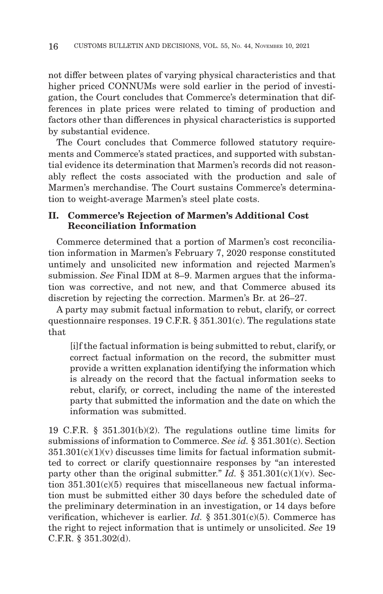not differ between plates of varying physical characteristics and that higher priced CONNUMs were sold earlier in the period of investigation, the Court concludes that Commerce's determination that differences in plate prices were related to timing of production and factors other than differences in physical characteristics is supported by substantial evidence.

The Court concludes that Commerce followed statutory requirements and Commerce's stated practices, and supported with substantial evidence its determination that Marmen's records did not reasonably reflect the costs associated with the production and sale of Marmen's merchandise. The Court sustains Commerce's determination to weight-average Marmen's steel plate costs.

#### **II. Commerce's Rejection of Marmen's Additional Cost Reconciliation Information**

Commerce determined that a portion of Marmen's cost reconciliation information in Marmen's February 7, 2020 response constituted untimely and unsolicited new information and rejected Marmen's submission. *See* Final IDM at 8–9. Marmen argues that the information was corrective, and not new, and that Commerce abused its discretion by rejecting the correction. Marmen's Br. at 26–27.

A party may submit factual information to rebut, clarify, or correct questionnaire responses. 19 C.F.R. § 351.301(c). The regulations state that

[i]f the factual information is being submitted to rebut, clarify, or correct factual information on the record, the submitter must provide a written explanation identifying the information which is already on the record that the factual information seeks to rebut, clarify, or correct, including the name of the interested party that submitted the information and the date on which the information was submitted.

19 C.F.R. § 351.301(b)(2). The regulations outline time limits for submissions of information to Commerce. *See id.* § 351.301(c). Section  $351.301(c)(1)(v)$  discusses time limits for factual information submitted to correct or clarify questionnaire responses by "an interested party other than the original submitter." *Id.*  $\S 351.301(c)(1)(v)$ . Section  $351.301(c)(5)$  requires that miscellaneous new factual information must be submitted either 30 days before the scheduled date of the preliminary determination in an investigation, or 14 days before verification, whichever is earlier. *Id.* § 351.301(c)(5). Commerce has the right to reject information that is untimely or unsolicited. *See* 19 C.F.R. § 351.302(d).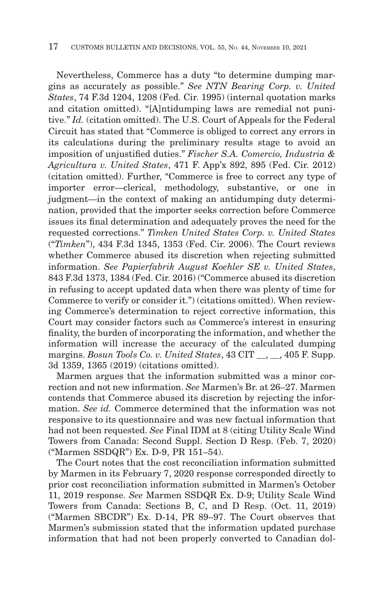Nevertheless, Commerce has a duty "to determine dumping margins as accurately as possible." *See NTN Bearing Corp. v. United States*, 74 F.3d 1204, 1208 (Fed. Cir. 1995) (internal quotation marks and citation omitted). "[A]ntidumping laws are remedial not punitive." *Id.* (citation omitted). The U.S. Court of Appeals for the Federal Circuit has stated that "Commerce is obliged to correct any errors in its calculations during the preliminary results stage to avoid an imposition of unjustified duties." *Fischer S.A. Comercio, Industria & Agricultura v. United States*, 471 F. App'x 892, 895 (Fed. Cir. 2012) (citation omitted). Further, "Commerce is free to correct any type of importer error—clerical, methodology, substantive, or one in judgment—in the context of making an antidumping duty determination, provided that the importer seeks correction before Commerce issues its final determination and adequately proves the need for the requested corrections." *Timken United States Corp. v. United States* ("*Timken*"), 434 F.3d 1345, 1353 (Fed. Cir. 2006). The Court reviews whether Commerce abused its discretion when rejecting submitted information. *See Papierfabrik August Koehler SE v. United States*, 843 F.3d 1373, 1384 (Fed. Cir. 2016) ("Commerce abused its discretion in refusing to accept updated data when there was plenty of time for Commerce to verify or consider it.") (citations omitted). When reviewing Commerce's determination to reject corrective information, this Court may consider factors such as Commerce's interest in ensuring finality, the burden of incorporating the information, and whether the information will increase the accuracy of the calculated dumping margins. *Bosun Tools Co. v. United States*, 43 CIT \_\_, \_\_, 405 F. Supp. 3d 1359, 1365 (2019) (citations omitted).

Marmen argues that the information submitted was a minor correction and not new information. *See* Marmen's Br. at 26–27. Marmen contends that Commerce abused its discretion by rejecting the information. *See id.* Commerce determined that the information was not responsive to its questionnaire and was new factual information that had not been requested. *See* Final IDM at 8 (citing Utility Scale Wind Towers from Canada: Second Suppl. Section D Resp. (Feb. 7, 2020) ("Marmen SSDQR") Ex. D-9, PR 151–54).

The Court notes that the cost reconciliation information submitted by Marmen in its February 7, 2020 response corresponded directly to prior cost reconciliation information submitted in Marmen's October 11, 2019 response. *See* Marmen SSDQR Ex. D-9; Utility Scale Wind Towers from Canada: Sections B, C, and D Resp. (Oct. 11, 2019) ("Marmen SBCDR") Ex. D-14, PR 89–97. The Court observes that Marmen's submission stated that the information updated purchase information that had not been properly converted to Canadian dol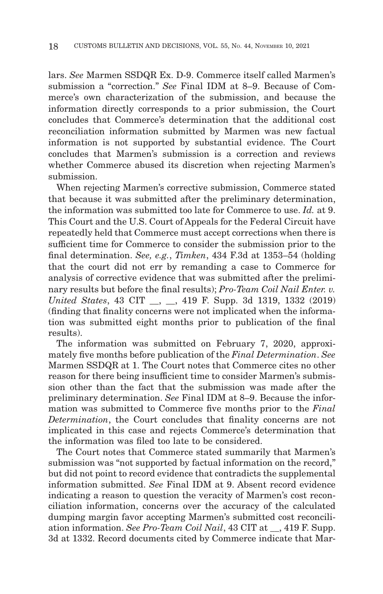lars. *See* Marmen SSDQR Ex. D-9. Commerce itself called Marmen's submission a "correction." *See* Final IDM at 8–9. Because of Commerce's own characterization of the submission, and because the information directly corresponds to a prior submission, the Court concludes that Commerce's determination that the additional cost reconciliation information submitted by Marmen was new factual information is not supported by substantial evidence. The Court concludes that Marmen's submission is a correction and reviews whether Commerce abused its discretion when rejecting Marmen's submission.

When rejecting Marmen's corrective submission, Commerce stated that because it was submitted after the preliminary determination, the information was submitted too late for Commerce to use. *Id.* at 9. This Court and the U.S. Court of Appeals for the Federal Circuit have repeatedly held that Commerce must accept corrections when there is sufficient time for Commerce to consider the submission prior to the final determination. *See, e.g.*, *Timken*, 434 F.3d at 1353–54 (holding that the court did not err by remanding a case to Commerce for analysis of corrective evidence that was submitted after the preliminary results but before the final results); *Pro-Team Coil Nail Enter. v. United States*, 43 CIT \_\_, \_\_, 419 F. Supp. 3d 1319, 1332 (2019) (finding that finality concerns were not implicated when the information was submitted eight months prior to publication of the final results).

The information was submitted on February 7, 2020, approximately five months before publication of the *Final Determination*. *See* Marmen SSDQR at 1. The Court notes that Commerce cites no other reason for there being insufficient time to consider Marmen's submission other than the fact that the submission was made after the preliminary determination. *See* Final IDM at 8–9. Because the information was submitted to Commerce five months prior to the *Final Determination*, the Court concludes that finality concerns are not implicated in this case and rejects Commerce's determination that the information was filed too late to be considered.

The Court notes that Commerce stated summarily that Marmen's submission was "not supported by factual information on the record," but did not point to record evidence that contradicts the supplemental information submitted. *See* Final IDM at 9. Absent record evidence indicating a reason to question the veracity of Marmen's cost reconciliation information, concerns over the accuracy of the calculated dumping margin favor accepting Marmen's submitted cost reconciliation information. *See Pro-Team Coil Nail*, 43 CIT at \_\_, 419 F. Supp. 3d at 1332. Record documents cited by Commerce indicate that Mar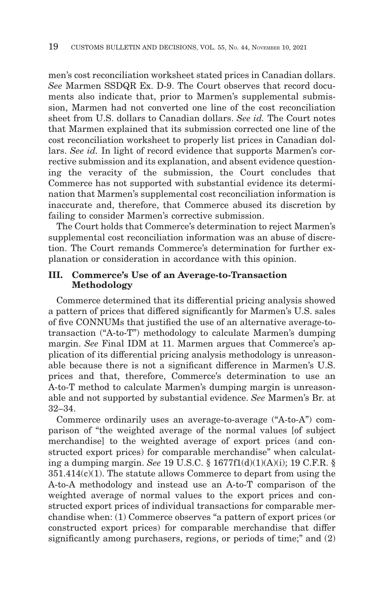men's cost reconciliation worksheet stated prices in Canadian dollars. *See* Marmen SSDQR Ex. D-9. The Court observes that record documents also indicate that, prior to Marmen's supplemental submission, Marmen had not converted one line of the cost reconciliation sheet from U.S. dollars to Canadian dollars. *See id.* The Court notes that Marmen explained that its submission corrected one line of the cost reconciliation worksheet to properly list prices in Canadian dollars. *See id.* In light of record evidence that supports Marmen's corrective submission and its explanation, and absent evidence questioning the veracity of the submission, the Court concludes that Commerce has not supported with substantial evidence its determination that Marmen's supplemental cost reconciliation information is inaccurate and, therefore, that Commerce abused its discretion by failing to consider Marmen's corrective submission.

The Court holds that Commerce's determination to reject Marmen's supplemental cost reconciliation information was an abuse of discretion. The Court remands Commerce's determination for further explanation or consideration in accordance with this opinion.

#### **III. Commerce's Use of an Average-to-Transaction Methodology**

Commerce determined that its differential pricing analysis showed a pattern of prices that differed significantly for Marmen's U.S. sales of five CONNUMs that justified the use of an alternative average-totransaction ("A-to-T") methodology to calculate Marmen's dumping margin. *See* Final IDM at 11. Marmen argues that Commerce's application of its differential pricing analysis methodology is unreasonable because there is not a significant difference in Marmen's U.S. prices and that, therefore, Commerce's determination to use an A-to-T method to calculate Marmen's dumping margin is unreasonable and not supported by substantial evidence. *See* Marmen's Br. at 32–34.

Commerce ordinarily uses an average-to-average ("A-to-A") comparison of "the weighted average of the normal values [of subject merchandise] to the weighted average of export prices (and constructed export prices) for comparable merchandise" when calculating a dumping margin. *See* 19 U.S.C. § 1677f1(d)(1)(A)(i); 19 C.F.R. § 351.414(c)(1). The statute allows Commerce to depart from using the A-to-A methodology and instead use an A-to-T comparison of the weighted average of normal values to the export prices and constructed export prices of individual transactions for comparable merchandise when: (1) Commerce observes "a pattern of export prices (or constructed export prices) for comparable merchandise that differ significantly among purchasers, regions, or periods of time;" and (2)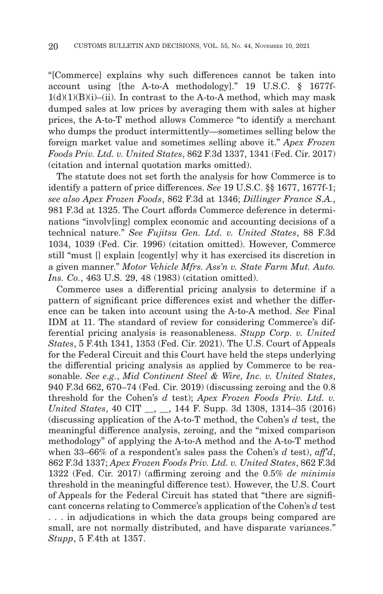"[Commerce] explains why such differences cannot be taken into account using [the A-to-A methodology]." 19 U.S.C. § 1677f- $1(d)(1)(B)(i)$ –(ii). In contrast to the A-to-A method, which may mask dumped sales at low prices by averaging them with sales at higher prices, the A-to-T method allows Commerce "to identify a merchant who dumps the product intermittently—sometimes selling below the foreign market value and sometimes selling above it." *Apex Frozen Foods Priv. Ltd. v. United States*, 862 F.3d 1337, 1341 (Fed. Cir. 2017) (citation and internal quotation marks omitted).

The statute does not set forth the analysis for how Commerce is to identify a pattern of price differences. *See* 19 U.S.C. §§ 1677, 1677f-1; *see also Apex Frozen Foods*, 862 F.3d at 1346; *Dillinger France S.A.*, 981 F.3d at 1325. The Court affords Commerce deference in determinations "involv[ing] complex economic and accounting decisions of a technical nature." *See Fujitsu Gen. Ltd. v. United States*, 88 F.3d 1034, 1039 (Fed. Cir. 1996) (citation omitted). However, Commerce still "must [] explain [cogently] why it has exercised its discretion in a given manner." *Motor Vehicle Mfrs. Ass'n v. State Farm Mut. Auto. Ins. Co.*, 463 U.S. 29, 48 (1983) (citation omitted).

Commerce uses a differential pricing analysis to determine if a pattern of significant price differences exist and whether the difference can be taken into account using the A-to-A method. *See* Final IDM at 11. The standard of review for considering Commerce's differential pricing analysis is reasonableness. *Stupp Corp. v. United States*, 5 F.4th 1341, 1353 (Fed. Cir. 2021). The U.S. Court of Appeals for the Federal Circuit and this Court have held the steps underlying the differential pricing analysis as applied by Commerce to be reasonable. *See e.g.*, *Mid Continent Steel & Wire, Inc. v. United States*, 940 F.3d 662, 670–74 (Fed. Cir. 2019) (discussing zeroing and the 0.8 threshold for the Cohen's *d* test); *Apex Frozen Foods Priv. Ltd. v. United States*, 40 CIT \_\_, \_\_, 144 F. Supp. 3d 1308, 1314–35 (2016) (discussing application of the A-to-T method, the Cohen's *d* test, the meaningful difference analysis, zeroing, and the "mixed comparison methodology" of applying the A-to-A method and the A-to-T method when 33–66% of a respondent's sales pass the Cohen's *d* test), *aff'd*, 862 F.3d 1337; *Apex Frozen Foods Priv. Ltd. v. United States*, 862 F.3d 1322 (Fed. Cir. 2017) (affirming zeroing and the 0.5% *de minimis* threshold in the meaningful difference test). However, the U.S. Court of Appeals for the Federal Circuit has stated that "there are significant concerns relating to Commerce's application of the Cohen's *d* test . . . in adjudications in which the data groups being compared are small, are not normally distributed, and have disparate variances." *Stupp*, 5 F.4th at 1357.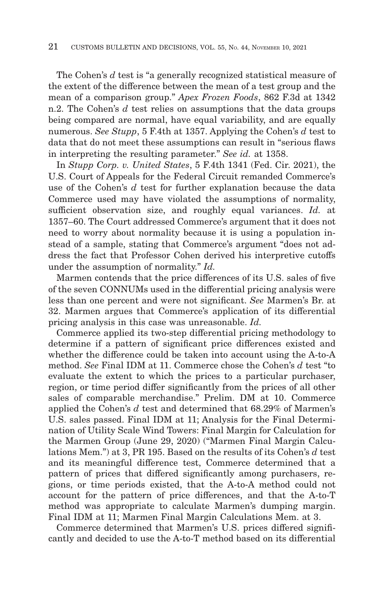The Cohen's *d* test is "a generally recognized statistical measure of the extent of the difference between the mean of a test group and the mean of a comparison group." *Apex Frozen Foods*, 862 F.3d at 1342 n.2. The Cohen's *d* test relies on assumptions that the data groups being compared are normal, have equal variability, and are equally numerous. *See Stupp*, 5 F.4th at 1357. Applying the Cohen's *d* test to data that do not meet these assumptions can result in "serious flaws in interpreting the resulting parameter." *See id.* at 1358.

In *Stupp Corp. v. United States*, 5 F.4th 1341 (Fed. Cir. 2021), the U.S. Court of Appeals for the Federal Circuit remanded Commerce's use of the Cohen's *d* test for further explanation because the data Commerce used may have violated the assumptions of normality, sufficient observation size, and roughly equal variances. *Id.* at 1357–60. The Court addressed Commerce's argument that it does not need to worry about normality because it is using a population instead of a sample, stating that Commerce's argument "does not address the fact that Professor Cohen derived his interpretive cutoffs under the assumption of normality." *Id.*

Marmen contends that the price differences of its U.S. sales of five of the seven CONNUMs used in the differential pricing analysis were less than one percent and were not significant. *See* Marmen's Br. at 32. Marmen argues that Commerce's application of its differential pricing analysis in this case was unreasonable. *Id.*

Commerce applied its two-step differential pricing methodology to determine if a pattern of significant price differences existed and whether the difference could be taken into account using the A-to-A method. *See* Final IDM at 11. Commerce chose the Cohen's *d* test "to evaluate the extent to which the prices to a particular purchaser, region, or time period differ significantly from the prices of all other sales of comparable merchandise." Prelim. DM at 10. Commerce applied the Cohen's *d* test and determined that 68.29% of Marmen's U.S. sales passed. Final IDM at 11; Analysis for the Final Determination of Utility Scale Wind Towers: Final Margin for Calculation for the Marmen Group (June 29, 2020) ("Marmen Final Margin Calculations Mem.") at 3, PR 195. Based on the results of its Cohen's *d* test and its meaningful difference test, Commerce determined that a pattern of prices that differed significantly among purchasers, regions, or time periods existed, that the A-to-A method could not account for the pattern of price differences, and that the A-to-T method was appropriate to calculate Marmen's dumping margin. Final IDM at 11; Marmen Final Margin Calculations Mem. at 3.

Commerce determined that Marmen's U.S. prices differed significantly and decided to use the A-to-T method based on its differential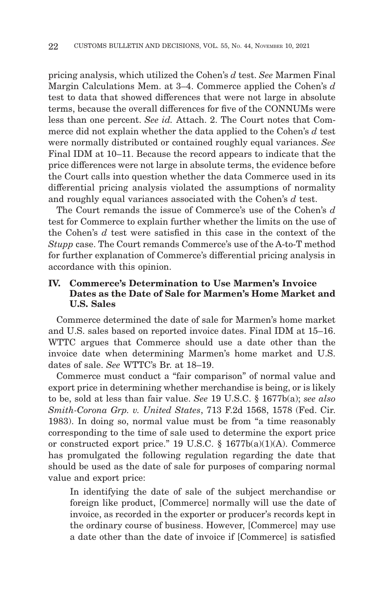pricing analysis, which utilized the Cohen's *d* test. *See* Marmen Final Margin Calculations Mem. at 3–4. Commerce applied the Cohen's *d* test to data that showed differences that were not large in absolute terms, because the overall differences for five of the CONNUMs were less than one percent. *See id.* Attach. 2. The Court notes that Commerce did not explain whether the data applied to the Cohen's *d* test were normally distributed or contained roughly equal variances. *See* Final IDM at 10–11. Because the record appears to indicate that the price differences were not large in absolute terms, the evidence before the Court calls into question whether the data Commerce used in its differential pricing analysis violated the assumptions of normality and roughly equal variances associated with the Cohen's *d* test.

The Court remands the issue of Commerce's use of the Cohen's *d* test for Commerce to explain further whether the limits on the use of the Cohen's *d* test were satisfied in this case in the context of the *Stupp* case. The Court remands Commerce's use of the A-to-T method for further explanation of Commerce's differential pricing analysis in accordance with this opinion.

#### **IV. Commerce's Determination to Use Marmen's Invoice Dates as the Date of Sale for Marmen's Home Market and U.S. Sales**

Commerce determined the date of sale for Marmen's home market and U.S. sales based on reported invoice dates. Final IDM at 15–16. WTTC argues that Commerce should use a date other than the invoice date when determining Marmen's home market and U.S. dates of sale. *See* WTTC's Br. at 18–19.

Commerce must conduct a "fair comparison" of normal value and export price in determining whether merchandise is being, or is likely to be, sold at less than fair value. *See* 19 U.S.C. § 1677b(a); *see also Smith-Corona Grp. v. United States*, 713 F.2d 1568, 1578 (Fed. Cir. 1983). In doing so, normal value must be from "a time reasonably corresponding to the time of sale used to determine the export price or constructed export price." 19 U.S.C.  $\S$  1677b(a)(1)(A). Commerce has promulgated the following regulation regarding the date that should be used as the date of sale for purposes of comparing normal value and export price:

In identifying the date of sale of the subject merchandise or foreign like product, [Commerce] normally will use the date of invoice, as recorded in the exporter or producer's records kept in the ordinary course of business. However, [Commerce] may use a date other than the date of invoice if [Commerce] is satisfied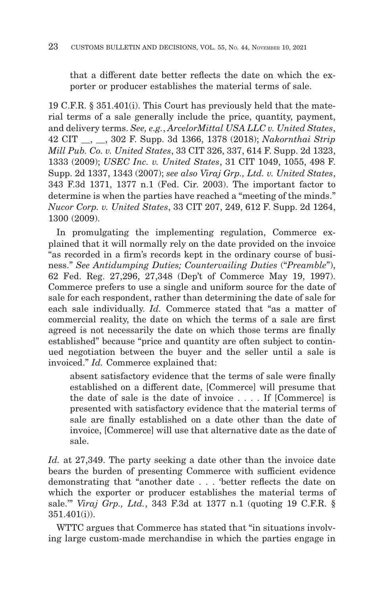that a different date better reflects the date on which the exporter or producer establishes the material terms of sale.

19 C.F.R. § 351.401(i). This Court has previously held that the material terms of a sale generally include the price, quantity, payment, and delivery terms. *See, e.g.*, *ArcelorMittal USA LLC v. United States*, 42 CIT \_\_, \_\_, 302 F. Supp. 3d 1366, 1378 (2018); *Nakornthai Strip Mill Pub. Co. v. United States*, 33 CIT 326, 337, 614 F. Supp. 2d 1323, 1333 (2009); *USEC Inc. v. United States*, 31 CIT 1049, 1055, 498 F. Supp. 2d 1337, 1343 (2007); *see also Viraj Grp., Ltd. v. United States*, 343 F.3d 1371, 1377 n.1 (Fed. Cir. 2003). The important factor to determine is when the parties have reached a "meeting of the minds." *Nucor Corp. v. United States*, 33 CIT 207, 249, 612 F. Supp. 2d 1264, 1300 (2009).

In promulgating the implementing regulation, Commerce explained that it will normally rely on the date provided on the invoice "as recorded in a firm's records kept in the ordinary course of business." *See Antidumping Duties; Countervailing Duties* ("*Preamble*"), 62 Fed. Reg. 27,296, 27,348 (Dep't of Commerce May 19, 1997). Commerce prefers to use a single and uniform source for the date of sale for each respondent, rather than determining the date of sale for each sale individually. *Id.* Commerce stated that "as a matter of commercial reality, the date on which the terms of a sale are first agreed is not necessarily the date on which those terms are finally established" because "price and quantity are often subject to continued negotiation between the buyer and the seller until a sale is invoiced." *Id.* Commerce explained that:

absent satisfactory evidence that the terms of sale were finally established on a different date, [Commerce] will presume that the date of sale is the date of invoice . . . . If [Commerce] is presented with satisfactory evidence that the material terms of sale are finally established on a date other than the date of invoice, [Commerce] will use that alternative date as the date of sale.

*Id.* at 27,349. The party seeking a date other than the invoice date bears the burden of presenting Commerce with sufficient evidence demonstrating that "another date . . . 'better reflects the date on which the exporter or producer establishes the material terms of sale.'" *Viraj Grp., Ltd.*, 343 F.3d at 1377 n.1 (quoting 19 C.F.R. § 351.401(i)).

WTTC argues that Commerce has stated that "in situations involving large custom-made merchandise in which the parties engage in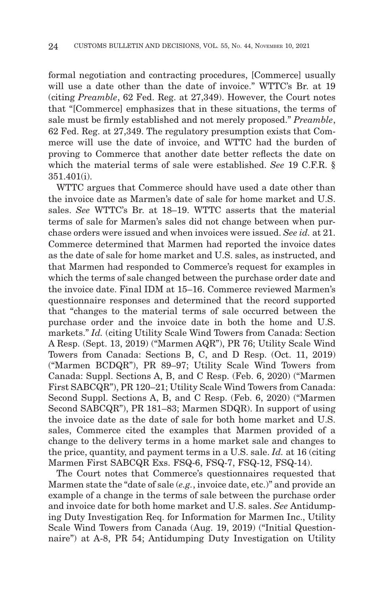formal negotiation and contracting procedures, [Commerce] usually will use a date other than the date of invoice." WTTC's Br. at 19 (citing *Preamble*, 62 Fed. Reg. at 27,349). However, the Court notes that "[Commerce] emphasizes that in these situations, the terms of sale must be firmly established and not merely proposed." *Preamble*, 62 Fed. Reg. at 27,349. The regulatory presumption exists that Commerce will use the date of invoice, and WTTC had the burden of proving to Commerce that another date better reflects the date on which the material terms of sale were established. *See* 19 C.F.R. § 351.401(i).

WTTC argues that Commerce should have used a date other than the invoice date as Marmen's date of sale for home market and U.S. sales. *See* WTTC's Br. at 18–19. WTTC asserts that the material terms of sale for Marmen's sales did not change between when purchase orders were issued and when invoices were issued. *See id.* at 21. Commerce determined that Marmen had reported the invoice dates as the date of sale for home market and U.S. sales, as instructed, and that Marmen had responded to Commerce's request for examples in which the terms of sale changed between the purchase order date and the invoice date. Final IDM at 15–16. Commerce reviewed Marmen's questionnaire responses and determined that the record supported that "changes to the material terms of sale occurred between the purchase order and the invoice date in both the home and U.S. markets." *Id.* (citing Utility Scale Wind Towers from Canada: Section A Resp. (Sept. 13, 2019) ("Marmen AQR"), PR 76; Utility Scale Wind Towers from Canada: Sections B, C, and D Resp. (Oct. 11, 2019) ("Marmen BCDQR"), PR 89–97; Utility Scale Wind Towers from Canada: Suppl. Sections A, B, and C Resp. (Feb. 6, 2020) ("Marmen First SABCQR"), PR 120–21; Utility Scale Wind Towers from Canada: Second Suppl. Sections A, B, and C Resp. (Feb. 6, 2020) ("Marmen Second SABCQR"), PR 181–83; Marmen SDQR). In support of using the invoice date as the date of sale for both home market and U.S. sales, Commerce cited the examples that Marmen provided of a change to the delivery terms in a home market sale and changes to the price, quantity, and payment terms in a U.S. sale. *Id.* at 16 (citing Marmen First SABCQR Exs. FSQ-6, FSQ-7, FSQ-12, FSQ-14).

The Court notes that Commerce's questionnaires requested that Marmen state the "date of sale (*e.g.*, invoice date, etc.)" and provide an example of a change in the terms of sale between the purchase order and invoice date for both home market and U.S. sales. *See* Antidumping Duty Investigation Req. for Information for Marmen Inc., Utility Scale Wind Towers from Canada (Aug. 19, 2019) ("Initial Questionnaire") at A-8, PR 54; Antidumping Duty Investigation on Utility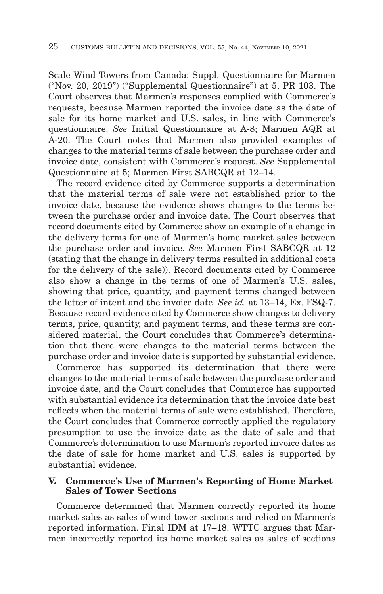Scale Wind Towers from Canada: Suppl. Questionnaire for Marmen ("Nov. 20, 2019") ("Supplemental Questionnaire") at 5, PR 103. The Court observes that Marmen's responses complied with Commerce's requests, because Marmen reported the invoice date as the date of sale for its home market and U.S. sales, in line with Commerce's questionnaire. *See* Initial Questionnaire at A-8; Marmen AQR at A-20. The Court notes that Marmen also provided examples of changes to the material terms of sale between the purchase order and invoice date, consistent with Commerce's request. *See* Supplemental Questionnaire at 5; Marmen First SABCQR at 12–14.

The record evidence cited by Commerce supports a determination that the material terms of sale were not established prior to the invoice date, because the evidence shows changes to the terms between the purchase order and invoice date. The Court observes that record documents cited by Commerce show an example of a change in the delivery terms for one of Marmen's home market sales between the purchase order and invoice. *See* Marmen First SABCQR at 12 (stating that the change in delivery terms resulted in additional costs for the delivery of the sale)). Record documents cited by Commerce also show a change in the terms of one of Marmen's U.S. sales, showing that price, quantity, and payment terms changed between the letter of intent and the invoice date. *See id.* at 13–14, Ex. FSQ-7. Because record evidence cited by Commerce show changes to delivery terms, price, quantity, and payment terms, and these terms are considered material, the Court concludes that Commerce's determination that there were changes to the material terms between the purchase order and invoice date is supported by substantial evidence.

Commerce has supported its determination that there were changes to the material terms of sale between the purchase order and invoice date, and the Court concludes that Commerce has supported with substantial evidence its determination that the invoice date best reflects when the material terms of sale were established. Therefore, the Court concludes that Commerce correctly applied the regulatory presumption to use the invoice date as the date of sale and that Commerce's determination to use Marmen's reported invoice dates as the date of sale for home market and U.S. sales is supported by substantial evidence.

#### **V. Commerce's Use of Marmen's Reporting of Home Market Sales of Tower Sections**

Commerce determined that Marmen correctly reported its home market sales as sales of wind tower sections and relied on Marmen's reported information. Final IDM at 17–18. WTTC argues that Marmen incorrectly reported its home market sales as sales of sections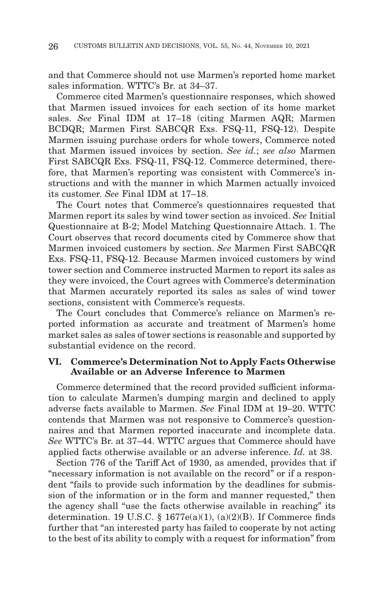and that Commerce should not use Marmen's reported home market sales information. WTTC's Br. at 34–37.

Commerce cited Marmen's questionnaire responses, which showed that Marmen issued invoices for each section of its home market sales. *See* Final IDM at 17–18 (citing Marmen AQR; Marmen BCDQR; Marmen First SABCQR Exs. FSQ-11, FSQ-12). Despite Marmen issuing purchase orders for whole towers, Commerce noted that Marmen issued invoices by section. *See id.*; *see also* Marmen First SABCQR Exs. FSQ-11, FSQ-12. Commerce determined, therefore, that Marmen's reporting was consistent with Commerce's instructions and with the manner in which Marmen actually invoiced its customer. *See* Final IDM at 17–18.

The Court notes that Commerce's questionnaires requested that Marmen report its sales by wind tower section as invoiced. *See* Initial Questionnaire at B-2; Model Matching Questionnaire Attach. 1. The Court observes that record documents cited by Commerce show that Marmen invoiced customers by section. *See* Marmen First SABCQR Exs. FSQ-11, FSQ-12. Because Marmen invoiced customers by wind tower section and Commerce instructed Marmen to report its sales as they were invoiced, the Court agrees with Commerce's determination that Marmen accurately reported its sales as sales of wind tower sections, consistent with Commerce's requests.

The Court concludes that Commerce's reliance on Marmen's reported information as accurate and treatment of Marmen's home market sales as sales of tower sections is reasonable and supported by substantial evidence on the record.

#### **VI. Commerce's Determination Not to Apply Facts Otherwise Available or an Adverse Inference to Marmen**

Commerce determined that the record provided sufficient information to calculate Marmen's dumping margin and declined to apply adverse facts available to Marmen. *See* Final IDM at 19–20. WTTC contends that Marmen was not responsive to Commerce's questionnaires and that Marmen reported inaccurate and incomplete data. *See* WTTC's Br. at 37–44. WTTC argues that Commerce should have applied facts otherwise available or an adverse inference. *Id.* at 38.

Section 776 of the Tariff Act of 1930, as amended, provides that if "necessary information is not available on the record" or if a respondent "fails to provide such information by the deadlines for submission of the information or in the form and manner requested," then the agency shall "use the facts otherwise available in reaching" its determination. 19 U.S.C. § 1677 $e(a)(1)$ ,  $(a)(2)(B)$ . If Commerce finds further that "an interested party has failed to cooperate by not acting to the best of its ability to comply with a request for information" from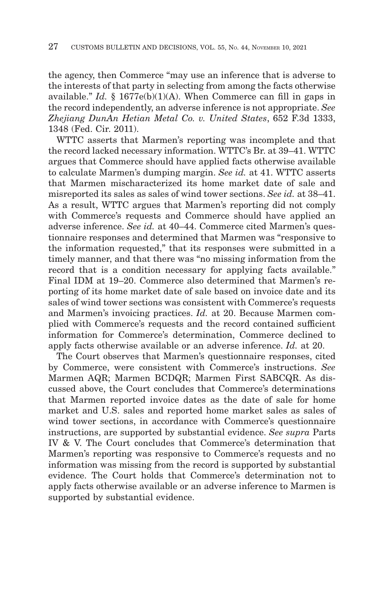the agency, then Commerce "may use an inference that is adverse to the interests of that party in selecting from among the facts otherwise available." *Id.* § 1677e(b)(1)(A). When Commerce can fill in gaps in the record independently, an adverse inference is not appropriate. *See Zhejiang DunAn Hetian Metal Co. v. United States*, 652 F.3d 1333, 1348 (Fed. Cir. 2011).

WTTC asserts that Marmen's reporting was incomplete and that the record lacked necessary information. WTTC's Br. at 39–41. WTTC argues that Commerce should have applied facts otherwise available to calculate Marmen's dumping margin. *See id.* at 41. WTTC asserts that Marmen mischaracterized its home market date of sale and misreported its sales as sales of wind tower sections. *See id.* at 38–41. As a result, WTTC argues that Marmen's reporting did not comply with Commerce's requests and Commerce should have applied an adverse inference. *See id.* at 40–44. Commerce cited Marmen's questionnaire responses and determined that Marmen was "responsive to the information requested," that its responses were submitted in a timely manner, and that there was "no missing information from the record that is a condition necessary for applying facts available." Final IDM at 19–20. Commerce also determined that Marmen's reporting of its home market date of sale based on invoice date and its sales of wind tower sections was consistent with Commerce's requests and Marmen's invoicing practices. *Id.* at 20. Because Marmen complied with Commerce's requests and the record contained sufficient information for Commerce's determination, Commerce declined to apply facts otherwise available or an adverse inference. *Id.* at 20.

The Court observes that Marmen's questionnaire responses, cited by Commerce, were consistent with Commerce's instructions. *See* Marmen AQR; Marmen BCDQR; Marmen First SABCQR. As discussed above, the Court concludes that Commerce's determinations that Marmen reported invoice dates as the date of sale for home market and U.S. sales and reported home market sales as sales of wind tower sections, in accordance with Commerce's questionnaire instructions, are supported by substantial evidence. *See supra* Parts IV & V. The Court concludes that Commerce's determination that Marmen's reporting was responsive to Commerce's requests and no information was missing from the record is supported by substantial evidence. The Court holds that Commerce's determination not to apply facts otherwise available or an adverse inference to Marmen is supported by substantial evidence.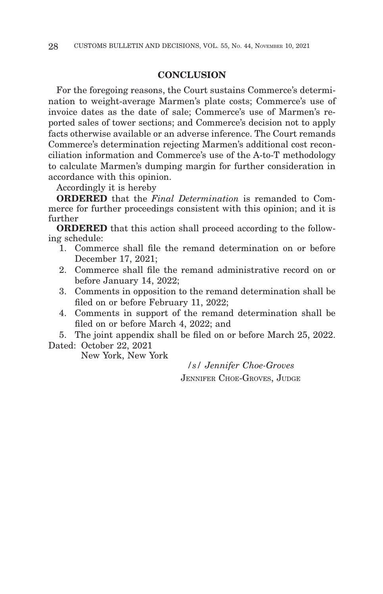#### **CONCLUSION**

For the foregoing reasons, the Court sustains Commerce's determination to weight-average Marmen's plate costs; Commerce's use of invoice dates as the date of sale; Commerce's use of Marmen's reported sales of tower sections; and Commerce's decision not to apply facts otherwise available or an adverse inference. The Court remands Commerce's determination rejecting Marmen's additional cost reconciliation information and Commerce's use of the A-to-T methodology to calculate Marmen's dumping margin for further consideration in accordance with this opinion.

Accordingly it is hereby

**ORDERED** that the *Final Determination* is remanded to Commerce for further proceedings consistent with this opinion; and it is further

**ORDERED** that this action shall proceed according to the following schedule:

- 1. Commerce shall file the remand determination on or before December 17, 2021;
- 2. Commerce shall file the remand administrative record on or before January 14, 2022;
- 3. Comments in opposition to the remand determination shall be filed on or before February 11, 2022;
- 4. Comments in support of the remand determination shall be filed on or before March 4, 2022; and

5. The joint appendix shall be filed on or before March 25, 2022.

Dated: October 22, 2021

New York, New York

*/s/ Jennifer Choe-Groves* JENNIFER CHOE-GROVES, JUDGE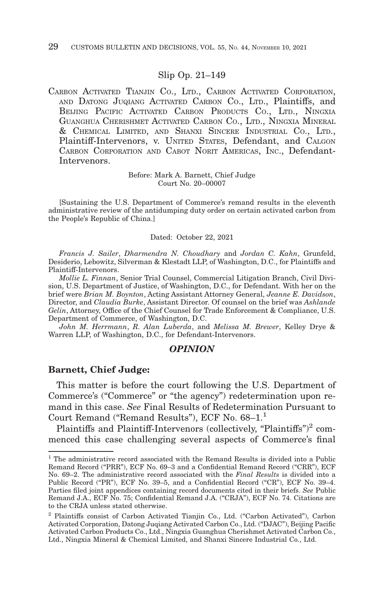#### Slip Op. 21–149

CARBON ACTIVATED TIANJIN CO., LTD., CARBON ACTIVATED CORPORATION, AND DATONG JUQIANG ACTIVATED CARBON CO., LTD., Plaintiffs, and BEIJING PACIFIC ACTIVATED CARBON PRODUCTS CO., LTD., NINGXIA GUANGHUA CHERISHMET ACTIVATED CARBON CO., LTD., NINGXIA MINERAL & CHEMICAL LIMITED, AND SHANXI SINCERE INDUSTRIAL CO., LTD., Plaintiff-Intervenors, v. UNITED STATES, Defendant, and CALGON CARBON CORPORATION AND CABOT NORIT AMERICAS, INC., Defendant-Intervenors.

> Before: Mark A. Barnett, Chief Judge Court No. 20–00007

[Sustaining the U.S. Department of Commerce's remand results in the eleventh administrative review of the antidumping duty order on certain activated carbon from the People's Republic of China.]

#### Dated: October 22, 2021

*Francis J. Sailer*, *Dharmendra N. Choudhary* and *Jordan C. Kahn*, Grunfeld, Desiderio, Lebowitz, Silverman & Klestadt LLP, of Washington, D.C., for Plaintiffs and Plaintiff-Intervenors.

*Mollie L. Finnan*, Senior Trial Counsel, Commercial Litigation Branch, Civil Division, U.S. Department of Justice, of Washington, D.C., for Defendant. With her on the brief were *Brian M. Boynton*, Acting Assistant Attorney General, *Jeanne E. Davidson*, Director, and *Claudia Burke*, Assistant Director. Of counsel on the brief was *Ashlande Gelin*, Attorney, Office of the Chief Counsel for Trade Enforcement & Compliance, U.S. Department of Commerce, of Washington, D.C.

*John M. Herrmann*, *R. Alan Luberda*, and *Melissa M. Brewer*, Kelley Drye & Warren LLP, of Washington, D.C., for Defendant-Intervenors.

#### *OPINION*

#### **Barnett, Chief Judge:**

This matter is before the court following the U.S. Department of Commerce's ("Commerce" or "the agency") redetermination upon remand in this case. *See* Final Results of Redetermination Pursuant to Court Remand ("Remand Results"), ECF No. 68–1.1

Plaintiffs and Plaintiff-Intervenors (collectively, "Plaintiffs")<sup>2</sup> commenced this case challenging several aspects of Commerce's final

<sup>&</sup>lt;sup>1</sup> The administrative record associated with the Remand Results is divided into a Public Remand Record ("PRR"), ECF No. 69–3 and a Confidential Remand Record ("CRR"), ECF No. 69–2. The administrative record associated with the *Final Results* is divided into a Public Record ("PR"), ECF No. 39–5, and a Confidential Record ("CR"), ECF No. 39–4. Parties filed joint appendices containing record documents cited in their briefs. *See* Public Remand J.A., ECF No. 75; Confidential Remand J.A. ("CRJA"), ECF No. 74. Citations are to the CRJA unless stated otherwise.

<sup>2</sup> Plaintiffs consist of Carbon Activated Tianjin Co., Ltd. ("Carbon Activated"), Carbon Activated Corporation, Datong Juqiang Activated Carbon Co., Ltd. ("DJAC"), Beijing Pacific Activated Carbon Products Co., Ltd., Ningxia Guanghua Cherishmet Activated Carbon Co., Ltd., Ningxia Mineral & Chemical Limited, and Shanxi Sincere Industrial Co., Ltd.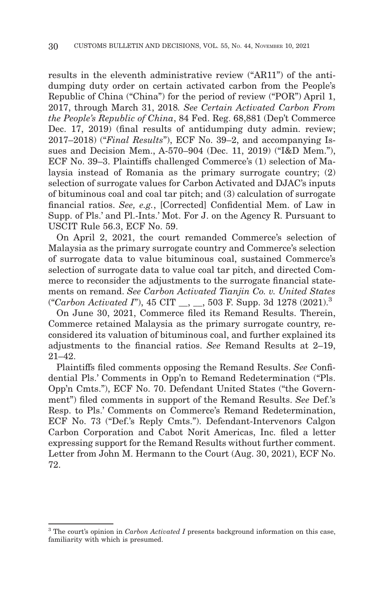results in the eleventh administrative review ("AR11") of the antidumping duty order on certain activated carbon from the People's Republic of China ("China") for the period of review ("POR") April 1, 2017, through March 31, 2018*. See Certain Activated Carbon From the People's Republic of China*, 84 Fed. Reg. 68,881 (Dep't Commerce Dec. 17, 2019) (final results of antidumping duty admin. review; 2017–2018) ("*Final Results*"), ECF No. 39–2, and accompanying Issues and Decision Mem., A-570–904 (Dec. 11, 2019) ("I&D Mem."), ECF No. 39–3. Plaintiffs challenged Commerce's (1) selection of Malaysia instead of Romania as the primary surrogate country; (2) selection of surrogate values for Carbon Activated and DJAC's inputs of bituminous coal and coal tar pitch; and (3) calculation of surrogate financial ratios. *See, e.g.*, [Corrected] Confidential Mem. of Law in Supp. of Pls.' and Pl.-Ints.' Mot. For J. on the Agency R. Pursuant to USCIT Rule 56.3, ECF No. 59.

On April 2, 2021, the court remanded Commerce's selection of Malaysia as the primary surrogate country and Commerce's selection of surrogate data to value bituminous coal, sustained Commerce's selection of surrogate data to value coal tar pitch, and directed Commerce to reconsider the adjustments to the surrogate financial statements on remand. *See Carbon Activated Tianjin Co. v. United States* ("*Carbon Activated I*"), 45 CIT \_\_, \_\_, 503 F. Supp. 3d 1278 (2021).3

On June 30, 2021, Commerce filed its Remand Results. Therein, Commerce retained Malaysia as the primary surrogate country, reconsidered its valuation of bituminous coal, and further explained its adjustments to the financial ratios. *See* Remand Results at 2–19, 21–42.

Plaintiffs filed comments opposing the Remand Results. *See* Confidential Pls.' Comments in Opp'n to Remand Redetermination ("Pls. Opp'n Cmts."), ECF No. 70. Defendant United States ("the Government") filed comments in support of the Remand Results. *See* Def.'s Resp. to Pls.' Comments on Commerce's Remand Redetermination, ECF No. 73 ("Def.'s Reply Cmts."). Defendant-Intervenors Calgon Carbon Corporation and Cabot Norit Americas, Inc. filed a letter expressing support for the Remand Results without further comment. Letter from John M. Hermann to the Court (Aug. 30, 2021), ECF No. 72.

<sup>&</sup>lt;sup>3</sup> The court's opinion in *Carbon Activated I* presents background information on this case, familiarity with which is presumed.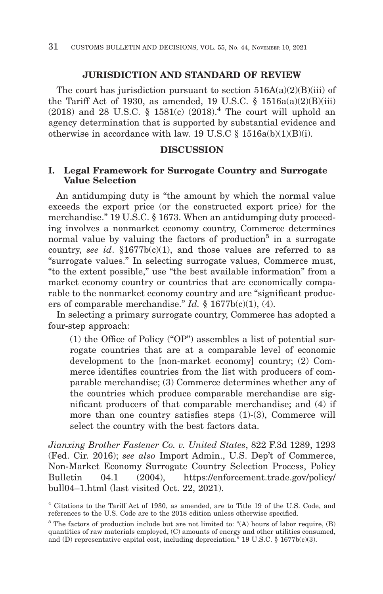#### **JURISDICTION AND STANDARD OF REVIEW**

The court has jurisdiction pursuant to section  $516A(a)(2)(B)(iii)$  of the Tariff Act of 1930, as amended, 19 U.S.C.  $\S$  1516a(a)(2)(B)(iii) (2018) and 28 U.S.C. § 1581(c) (2018).4 The court will uphold an agency determination that is supported by substantial evidence and otherwise in accordance with law. 19 U.S.C  $\delta$  1516a(b)(1)(B)(i).

#### **DISCUSSION**

#### **I. Legal Framework for Surrogate Country and Surrogate Value Selection**

An antidumping duty is "the amount by which the normal value exceeds the export price (or the constructed export price) for the merchandise." 19 U.S.C. § 1673. When an antidumping duty proceeding involves a nonmarket economy country, Commerce determines normal value by valuing the factors of production<sup>5</sup> in a surrogate country, *see id*. §1677b(c)(1), and those values are referred to as "surrogate values." In selecting surrogate values, Commerce must, "to the extent possible," use "the best available information" from a market economy country or countries that are economically comparable to the nonmarket economy country and are "significant producers of comparable merchandise." *Id.* § 1677b(c)(1), (4).

In selecting a primary surrogate country, Commerce has adopted a four-step approach:

(1) the Office of Policy ("OP") assembles a list of potential surrogate countries that are at a comparable level of economic development to the [non-market economy] country; (2) Commerce identifies countries from the list with producers of comparable merchandise; (3) Commerce determines whether any of the countries which produce comparable merchandise are significant producers of that comparable merchandise; and (4) if more than one country satisfies steps (1)-(3), Commerce will select the country with the best factors data.

*Jianxing Brother Fastener Co. v. United States*, 822 F.3d 1289, 1293 (Fed. Cir. 2016); *see also* Import Admin., U.S. Dep't of Commerce, Non-Market Economy Surrogate Country Selection Process, Policy Bulletin 04.1 (2004), https://enforcement.trade.gov/policy/ bull04–1.html (last visited Oct. 22, 2021).

<sup>4</sup> Citations to the Tariff Act of 1930, as amended, are to Title 19 of the U.S. Code, and references to the U.S. Code are to the 2018 edition unless otherwise specified.

 $5$  The factors of production include but are not limited to: "(A) hours of labor require, (B) quantities of raw materials employed, (C) amounts of energy and other utilities consumed, and (D) representative capital cost, including depreciation." 19 U.S.C.  $\S$  1677b(c)(3).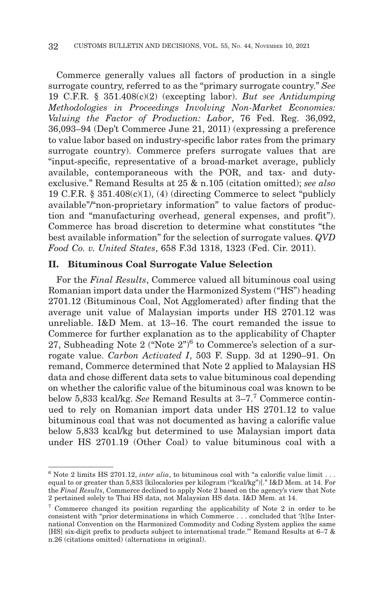Commerce generally values all factors of production in a single surrogate country, referred to as the "primary surrogate country." *See* 19 C.F.R. § 351.408(c)(2) (excepting labor). *But see Antidumping Methodologies in Proceedings Involving Non-Market Economies: Valuing the Factor of Production: Labor*, 76 Fed. Reg. 36,092, 36,093–94 (Dep't Commerce June 21, 2011) (expressing a preference to value labor based on industry-specific labor rates from the primary surrogate country). Commerce prefers surrogate values that are "input-specific, representative of a broad-market average, publicly available, contemporaneous with the POR, and tax- and dutyexclusive." Remand Results at 25 & n.105 (citation omitted); *see also* 19 C.F.R.  $§ 351.408(c)(1)$ , (4) (directing Commerce to select "publicly available"/"non-proprietary information" to value factors of production and "manufacturing overhead, general expenses, and profit"). Commerce has broad discretion to determine what constitutes "the best available information" for the selection of surrogate values. *QVD Food Co. v. United States*, 658 F.3d 1318, 1323 (Fed. Cir. 2011).

#### **II. Bituminous Coal Surrogate Value Selection**

For the *Final Results*, Commerce valued all bituminous coal using Romanian import data under the Harmonized System ("HS") heading 2701.12 (Bituminous Coal, Not Agglomerated) after finding that the average unit value of Malaysian imports under HS 2701.12 was unreliable. I&D Mem. at 13–16. The court remanded the issue to Commerce for further explanation as to the applicability of Chapter 27, Subheading Note 2 ("Note  $2<sup>n</sup>$ 6 to Commerce's selection of a surrogate value. *Carbon Activated I*, 503 F. Supp. 3d at 1290–91. On remand, Commerce determined that Note 2 applied to Malaysian HS data and chose different data sets to value bituminous coal depending on whether the calorific value of the bituminous coal was known to be below 5,833 kcal/kg. *See* Remand Results at 3–7.7 Commerce continued to rely on Romanian import data under HS 2701.12 to value bituminous coal that was not documented as having a calorific value below 5,833 kcal/kg but determined to use Malaysian import data under HS 2701.19 (Other Coal) to value bituminous coal with a

 $6$  Note 2 limits HS 2701.12, *inter alia*, to bituminous coal with "a calorific value limit . . . equal to or greater than 5,833 [kilocalories per kilogram ("kcal/kg")]." I&D Mem. at 14. For the *Final Results*, Commerce declined to apply Note 2 based on the agency's view that Note 2 pertained solely to Thai HS data, not Malaysian HS data. I&D Mem. at 14.

<sup>7</sup> Commerce changed its position regarding the applicability of Note 2 in order to be consistent with "prior determinations in which Commerce . . . concluded that '[t]he International Convention on the Harmonized Commodity and Coding System applies the same [HS] six-digit prefix to products subject to international trade.'" Remand Results at 6–7 & n.26 (citations omitted) (alternations in original).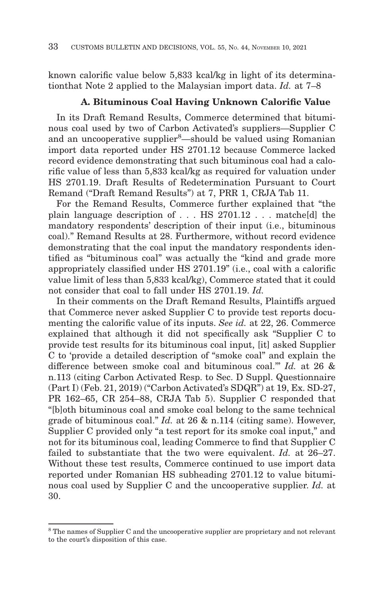known calorific value below 5,833 kcal/kg in light of its determinationthat Note 2 applied to the Malaysian import data. *Id.* at 7–8

#### **A. Bituminous Coal Having Unknown Calorific Value**

In its Draft Remand Results, Commerce determined that bituminous coal used by two of Carbon Activated's suppliers—Supplier C and an uncooperative supplier<sup>8</sup>-should be valued using Romanian import data reported under HS 2701.12 because Commerce lacked record evidence demonstrating that such bituminous coal had a calorific value of less than 5,833 kcal/kg as required for valuation under HS 2701.19. Draft Results of Redetermination Pursuant to Court Remand ("Draft Remand Results") at 7, PRR 1, CRJA Tab 11.

For the Remand Results, Commerce further explained that "the plain language description of . . . HS 2701.12 . . . matche[d] the mandatory respondents' description of their input (i.e., bituminous coal)." Remand Results at 28. Furthermore, without record evidence demonstrating that the coal input the mandatory respondents identified as "bituminous coal" was actually the "kind and grade more appropriately classified under HS 2701.19" (i.e., coal with a calorific value limit of less than 5,833 kcal/kg), Commerce stated that it could not consider that coal to fall under HS 2701.19. *Id.*

In their comments on the Draft Remand Results, Plaintiffs argued that Commerce never asked Supplier C to provide test reports documenting the calorific value of its inputs. *See id.* at 22, 26. Commerce explained that although it did not specifically ask "Supplier C to provide test results for its bituminous coal input, [it] asked Supplier C to 'provide a detailed description of "smoke coal" and explain the difference between smoke coal and bituminous coal.'" *Id.* at 26 & n.113 (citing Carbon Activated Resp. to Sec. D Suppl. Questionnaire (Part I) (Feb. 21, 2019) ("Carbon Activated's SDQR") at 19, Ex. SD-27, PR 162–65, CR 254–88, CRJA Tab 5). Supplier C responded that "[b]oth bituminous coal and smoke coal belong to the same technical grade of bituminous coal." *Id.* at 26 & n.114 (citing same). However, Supplier C provided only "a test report for its smoke coal input," and not for its bituminous coal, leading Commerce to find that Supplier C failed to substantiate that the two were equivalent. *Id.* at 26–27. Without these test results, Commerce continued to use import data reported under Romanian HS subheading 2701.12 to value bituminous coal used by Supplier C and the uncooperative supplier. *Id.* at 30.

<sup>8</sup> The names of Supplier C and the uncooperative supplier are proprietary and not relevant to the court's disposition of this case.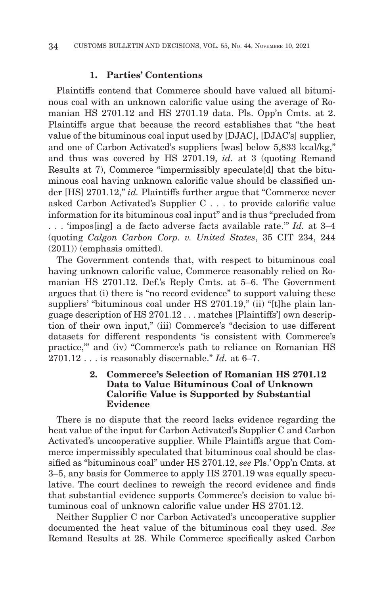#### **1. Parties' Contentions**

Plaintiffs contend that Commerce should have valued all bituminous coal with an unknown calorific value using the average of Romanian HS 2701.12 and HS 2701.19 data. Pls. Opp'n Cmts. at 2. Plaintiffs argue that because the record establishes that "the heat value of the bituminous coal input used by [DJAC], [DJAC's] supplier, and one of Carbon Activated's suppliers [was] below 5,833 kcal/kg," and thus was covered by HS 2701.19, *id.* at 3 (quoting Remand Results at 7), Commerce "impermissibly speculate[d] that the bituminous coal having unknown calorific value should be classified under [HS] 2701.12," *id.* Plaintiffs further argue that "Commerce never asked Carbon Activated's Supplier C . . . to provide calorific value information for its bituminous coal input" and is thus "precluded from . . . 'impos[ing] a de facto adverse facts available rate.'" *Id.* at 3–4 (quoting *Calgon Carbon Corp. v. United States*, 35 CIT 234, 244 (2011)) (emphasis omitted).

The Government contends that, with respect to bituminous coal having unknown calorific value, Commerce reasonably relied on Romanian HS 2701.12. Def.'s Reply Cmts. at 5–6. The Government argues that (i) there is "no record evidence" to support valuing these suppliers' "bituminous coal under HS 2701.19," (ii) "[t]he plain language description of HS 2701.12 . . . matches [Plaintiffs'] own description of their own input," (iii) Commerce's "decision to use different datasets for different respondents 'is consistent with Commerce's practice,'" and (iv) "Commerce's path to reliance on Romanian HS 2701.12 . . . is reasonably discernable." *Id.* at 6–7.

#### **2. Commerce's Selection of Romanian HS 2701.12 Data to Value Bituminous Coal of Unknown Calorific Value is Supported by Substantial Evidence**

There is no dispute that the record lacks evidence regarding the heat value of the input for Carbon Activated's Supplier C and Carbon Activated's uncooperative supplier. While Plaintiffs argue that Commerce impermissibly speculated that bituminous coal should be classified as "bituminous coal" under HS 2701.12, *see* Pls.' Opp'n Cmts. at 3–5, any basis for Commerce to apply HS 2701.19 was equally speculative. The court declines to reweigh the record evidence and finds that substantial evidence supports Commerce's decision to value bituminous coal of unknown calorific value under HS 2701.12.

Neither Supplier C nor Carbon Activated's uncooperative supplier documented the heat value of the bituminous coal they used. *See* Remand Results at 28. While Commerce specifically asked Carbon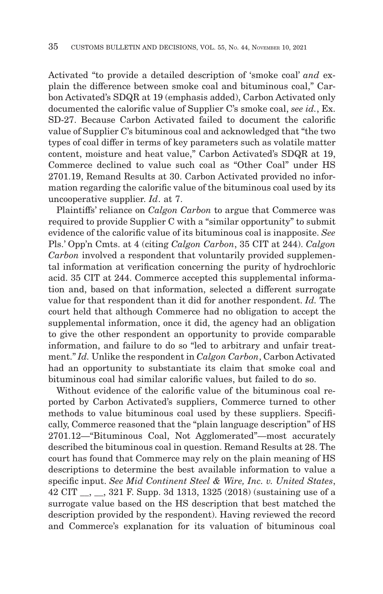Activated "to provide a detailed description of 'smoke coal' *and* explain the difference between smoke coal and bituminous coal," Carbon Activated's SDQR at 19 (emphasis added), Carbon Activated only documented the calorific value of Supplier C's smoke coal, *see id.*, Ex. SD-27. Because Carbon Activated failed to document the calorific value of Supplier C's bituminous coal and acknowledged that "the two types of coal differ in terms of key parameters such as volatile matter content, moisture and heat value," Carbon Activated's SDQR at 19, Commerce declined to value such coal as "Other Coal" under HS 2701.19, Remand Results at 30. Carbon Activated provided no information regarding the calorific value of the bituminous coal used by its uncooperative supplier. *Id*. at 7.

Plaintiffs' reliance on *Calgon Carbon* to argue that Commerce was required to provide Supplier C with a "similar opportunity" to submit evidence of the calorific value of its bituminous coal is inapposite. *See* Pls.' Opp'n Cmts. at 4 (citing *Calgon Carbon*, 35 CIT at 244). *Calgon Carbon* involved a respondent that voluntarily provided supplemental information at verification concerning the purity of hydrochloric acid. 35 CIT at 244. Commerce accepted this supplemental information and, based on that information, selected a different surrogate value for that respondent than it did for another respondent. *Id.* The court held that although Commerce had no obligation to accept the supplemental information, once it did, the agency had an obligation to give the other respondent an opportunity to provide comparable information, and failure to do so "led to arbitrary and unfair treatment." *Id.* Unlike the respondent in *Calgon Carbon*, Carbon Activated had an opportunity to substantiate its claim that smoke coal and bituminous coal had similar calorific values, but failed to do so.

Without evidence of the calorific value of the bituminous coal reported by Carbon Activated's suppliers, Commerce turned to other methods to value bituminous coal used by these suppliers. Specifically, Commerce reasoned that the "plain language description" of HS 2701.12—"Bituminous Coal, Not Agglomerated"—most accurately described the bituminous coal in question. Remand Results at 28. The court has found that Commerce may rely on the plain meaning of HS descriptions to determine the best available information to value a specific input. *See Mid Continent Steel & Wire, Inc. v. United States*, 42 CIT \_\_, \_\_, 321 F. Supp. 3d 1313, 1325 (2018) (sustaining use of a surrogate value based on the HS description that best matched the description provided by the respondent). Having reviewed the record and Commerce's explanation for its valuation of bituminous coal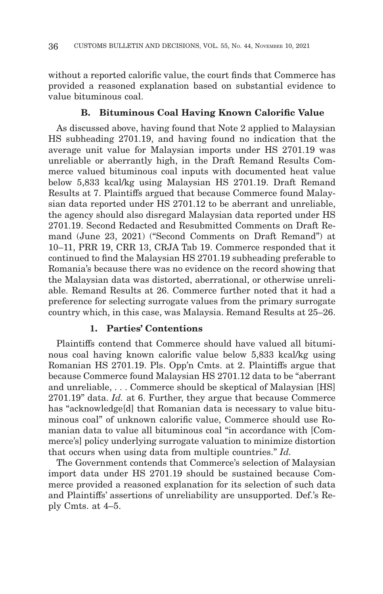without a reported calorific value, the court finds that Commerce has provided a reasoned explanation based on substantial evidence to value bituminous coal.

#### **B. Bituminous Coal Having Known Calorific Value**

As discussed above, having found that Note 2 applied to Malaysian HS subheading 2701.19, and having found no indication that the average unit value for Malaysian imports under HS 2701.19 was unreliable or aberrantly high, in the Draft Remand Results Commerce valued bituminous coal inputs with documented heat value below 5,833 kcal/kg using Malaysian HS 2701.19. Draft Remand Results at 7. Plaintiffs argued that because Commerce found Malaysian data reported under HS 2701.12 to be aberrant and unreliable, the agency should also disregard Malaysian data reported under HS 2701.19. Second Redacted and Resubmitted Comments on Draft Remand (June 23, 2021) ("Second Comments on Draft Remand") at 10–11, PRR 19, CRR 13, CRJA Tab 19. Commerce responded that it continued to find the Malaysian HS 2701.19 subheading preferable to Romania's because there was no evidence on the record showing that the Malaysian data was distorted, aberrational, or otherwise unreliable. Remand Results at 26. Commerce further noted that it had a preference for selecting surrogate values from the primary surrogate country which, in this case, was Malaysia. Remand Results at 25–26.

#### **1. Parties' Contentions**

Plaintiffs contend that Commerce should have valued all bituminous coal having known calorific value below 5,833 kcal/kg using Romanian HS 2701.19. Pls. Opp'n Cmts. at 2. Plaintiffs argue that because Commerce found Malaysian HS 2701.12 data to be "aberrant and unreliable, . . . Commerce should be skeptical of Malaysian [HS] 2701.19" data. *Id.* at 6. Further, they argue that because Commerce has "acknowledge<sup>[d]</sup> that Romanian data is necessary to value bituminous coal" of unknown calorific value, Commerce should use Romanian data to value all bituminous coal "in accordance with [Commerce's] policy underlying surrogate valuation to minimize distortion that occurs when using data from multiple countries." *Id.*

The Government contends that Commerce's selection of Malaysian import data under HS 2701.19 should be sustained because Commerce provided a reasoned explanation for its selection of such data and Plaintiffs' assertions of unreliability are unsupported. Def.'s Reply Cmts. at 4–5.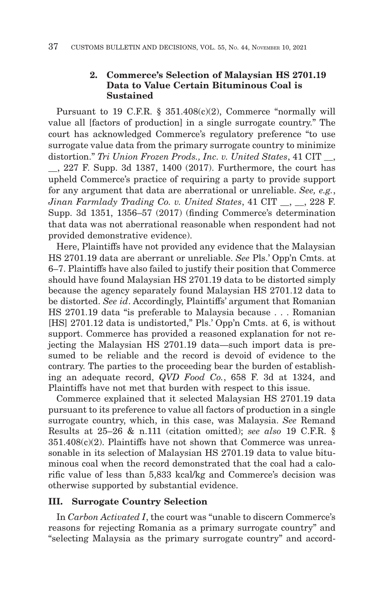#### **2. Commerce's Selection of Malaysian HS 2701.19 Data to Value Certain Bituminous Coal is Sustained**

Pursuant to 19 C.F.R. § 351.408(c)(2), Commerce "normally will value all [factors of production] in a single surrogate country." The court has acknowledged Commerce's regulatory preference "to use surrogate value data from the primary surrogate country to minimize distortion." *Tri Union Frozen Prods., Inc. v. United States*, 41 CIT \_\_, \_\_, 227 F. Supp. 3d 1387, 1400 (2017). Furthermore, the court has upheld Commerce's practice of requiring a party to provide support for any argument that data are aberrational or unreliable. *See, e.g.*, *Jinan Farmlady Trading Co. v. United States*, 41 CIT \_\_, \_\_, 228 F. Supp. 3d 1351, 1356–57 (2017) (finding Commerce's determination that data was not aberrational reasonable when respondent had not provided demonstrative evidence).

Here, Plaintiffs have not provided any evidence that the Malaysian HS 2701.19 data are aberrant or unreliable. *See* Pls.' Opp'n Cmts. at 6–7. Plaintiffs have also failed to justify their position that Commerce should have found Malaysian HS 2701.19 data to be distorted simply because the agency separately found Malaysian HS 2701.12 data to be distorted. *See id*. Accordingly, Plaintiffs' argument that Romanian HS 2701.19 data "is preferable to Malaysia because . . . Romanian [HS] 2701.12 data is undistorted," Pls.' Opp'n Cmts. at 6, is without support. Commerce has provided a reasoned explanation for not rejecting the Malaysian HS 2701.19 data—such import data is presumed to be reliable and the record is devoid of evidence to the contrary. The parties to the proceeding bear the burden of establishing an adequate record, *QVD Food Co.*, 658 F. 3d at 1324, and Plaintiffs have not met that burden with respect to this issue.

Commerce explained that it selected Malaysian HS 2701.19 data pursuant to its preference to value all factors of production in a single surrogate country, which, in this case, was Malaysia. *See* Remand Results at 25–26 & n.111 (citation omitted); *see also* 19 C.F.R. §  $351.408(c)(2)$ . Plaintiffs have not shown that Commerce was unreasonable in its selection of Malaysian HS 2701.19 data to value bituminous coal when the record demonstrated that the coal had a calorific value of less than 5,833 kcal/kg and Commerce's decision was otherwise supported by substantial evidence.

#### **III. Surrogate Country Selection**

In *Carbon Activated I*, the court was "unable to discern Commerce's reasons for rejecting Romania as a primary surrogate country" and "selecting Malaysia as the primary surrogate country" and accord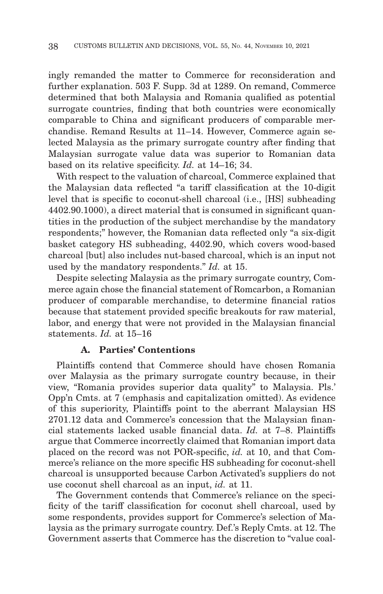ingly remanded the matter to Commerce for reconsideration and further explanation. 503 F. Supp. 3d at 1289. On remand, Commerce determined that both Malaysia and Romania qualified as potential surrogate countries, finding that both countries were economically comparable to China and significant producers of comparable merchandise. Remand Results at 11–14. However, Commerce again selected Malaysia as the primary surrogate country after finding that Malaysian surrogate value data was superior to Romanian data based on its relative specificity. *Id.* at 14–16; 34.

With respect to the valuation of charcoal, Commerce explained that the Malaysian data reflected "a tariff classification at the 10-digit level that is specific to coconut-shell charcoal (i.e., [HS] subheading 4402.90.1000), a direct material that is consumed in significant quantities in the production of the subject merchandise by the mandatory respondents;" however, the Romanian data reflected only "a six-digit basket category HS subheading, 4402.90, which covers wood-based charcoal [but] also includes nut-based charcoal, which is an input not used by the mandatory respondents." *Id.* at 15.

Despite selecting Malaysia as the primary surrogate country, Commerce again chose the financial statement of Romcarbon, a Romanian producer of comparable merchandise, to determine financial ratios because that statement provided specific breakouts for raw material, labor, and energy that were not provided in the Malaysian financial statements. *Id.* at 15–16

#### **A. Parties' Contentions**

Plaintiffs contend that Commerce should have chosen Romania over Malaysia as the primary surrogate country because, in their view, "Romania provides superior data quality" to Malaysia. Pls.' Opp'n Cmts. at 7 (emphasis and capitalization omitted). As evidence of this superiority, Plaintiffs point to the aberrant Malaysian HS 2701.12 data and Commerce's concession that the Malaysian financial statements lacked usable financial data. *Id.* at 7–8. Plaintiffs argue that Commerce incorrectly claimed that Romanian import data placed on the record was not POR-specific, *id.* at 10, and that Commerce's reliance on the more specific HS subheading for coconut-shell charcoal is unsupported because Carbon Activated's suppliers do not use coconut shell charcoal as an input, *id.* at 11.

The Government contends that Commerce's reliance on the specificity of the tariff classification for coconut shell charcoal, used by some respondents, provides support for Commerce's selection of Malaysia as the primary surrogate country. Def.'s Reply Cmts. at 12. The Government asserts that Commerce has the discretion to "value coal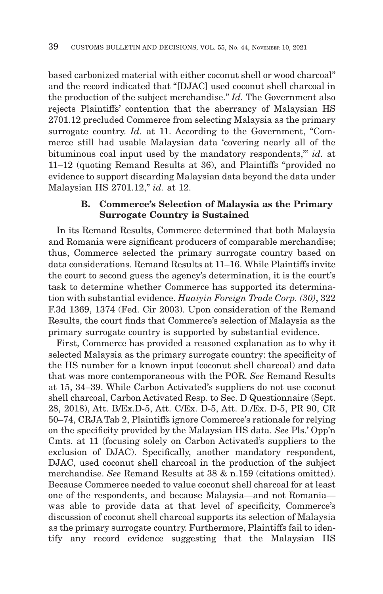based carbonized material with either coconut shell or wood charcoal" and the record indicated that "[DJAC] used coconut shell charcoal in the production of the subject merchandise." *Id.* The Government also rejects Plaintiffs' contention that the aberrancy of Malaysian HS 2701.12 precluded Commerce from selecting Malaysia as the primary surrogate country. *Id.* at 11. According to the Government, "Commerce still had usable Malaysian data 'covering nearly all of the bituminous coal input used by the mandatory respondents,'" *id.* at 11–12 (quoting Remand Results at 36), and Plaintiffs "provided no evidence to support discarding Malaysian data beyond the data under Malaysian HS 2701.12," *id.* at 12.

#### **B. Commerce's Selection of Malaysia as the Primary Surrogate Country is Sustained**

In its Remand Results, Commerce determined that both Malaysia and Romania were significant producers of comparable merchandise; thus, Commerce selected the primary surrogate country based on data considerations. Remand Results at 11–16. While Plaintiffs invite the court to second guess the agency's determination, it is the court's task to determine whether Commerce has supported its determination with substantial evidence. *Huaiyin Foreign Trade Corp. (30)*, 322 F.3d 1369, 1374 (Fed. Cir 2003). Upon consideration of the Remand Results, the court finds that Commerce's selection of Malaysia as the primary surrogate country is supported by substantial evidence.

First, Commerce has provided a reasoned explanation as to why it selected Malaysia as the primary surrogate country: the specificity of the HS number for a known input (coconut shell charcoal) and data that was more contemporaneous with the POR. *See* Remand Results at 15, 34–39. While Carbon Activated's suppliers do not use coconut shell charcoal, Carbon Activated Resp. to Sec. D Questionnaire (Sept. 28, 2018), Att. B/Ex.D-5, Att. C/Ex. D-5, Att. D./Ex. D-5, PR 90, CR 50–74, CRJA Tab 2, Plaintiffs ignore Commerce's rationale for relying on the specificity provided by the Malaysian HS data. *See* Pls.' Opp'n Cmts. at 11 (focusing solely on Carbon Activated's suppliers to the exclusion of DJAC). Specifically, another mandatory respondent, DJAC, used coconut shell charcoal in the production of the subject merchandise. *See* Remand Results at 38 & n.159 (citations omitted). Because Commerce needed to value coconut shell charcoal for at least one of the respondents, and because Malaysia—and not Romania was able to provide data at that level of specificity, Commerce's discussion of coconut shell charcoal supports its selection of Malaysia as the primary surrogate country. Furthermore, Plaintiffs fail to identify any record evidence suggesting that the Malaysian HS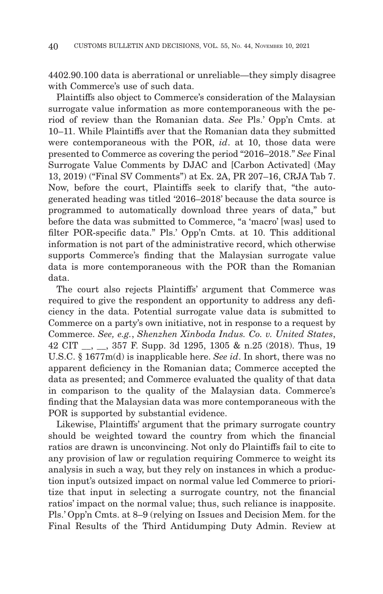4402.90.100 data is aberrational or unreliable—they simply disagree with Commerce's use of such data.

Plaintiffs also object to Commerce's consideration of the Malaysian surrogate value information as more contemporaneous with the period of review than the Romanian data. *See* Pls.' Opp'n Cmts. at 10–11. While Plaintiffs aver that the Romanian data they submitted were contemporaneous with the POR, *id*. at 10, those data were presented to Commerce as covering the period "2016–2018." *See* Final Surrogate Value Comments by DJAC and [Carbon Activated] (May 13, 2019) ("Final SV Comments") at Ex. 2A, PR 207–16, CRJA Tab 7. Now, before the court, Plaintiffs seek to clarify that, "the autogenerated heading was titled '2016–2018' because the data source is programmed to automatically download three years of data," but before the data was submitted to Commerce, "a 'macro' [was] used to filter POR-specific data." Pls.' Opp'n Cmts. at 10. This additional information is not part of the administrative record, which otherwise supports Commerce's finding that the Malaysian surrogate value data is more contemporaneous with the POR than the Romanian data.

The court also rejects Plaintiffs' argument that Commerce was required to give the respondent an opportunity to address any deficiency in the data. Potential surrogate value data is submitted to Commerce on a party's own initiative, not in response to a request by Commerce. *See, e.g.*, *Shenzhen Xinboda Indus. Co. v. United States*, 42 CIT \_\_, \_\_, 357 F. Supp. 3d 1295, 1305 & n.25 (2018). Thus, 19 U.S.C. § 1677m(d) is inapplicable here. *See id*. In short, there was no apparent deficiency in the Romanian data; Commerce accepted the data as presented; and Commerce evaluated the quality of that data in comparison to the quality of the Malaysian data. Commerce's finding that the Malaysian data was more contemporaneous with the POR is supported by substantial evidence.

Likewise, Plaintiffs' argument that the primary surrogate country should be weighted toward the country from which the financial ratios are drawn is unconvincing. Not only do Plaintiffs fail to cite to any provision of law or regulation requiring Commerce to weight its analysis in such a way, but they rely on instances in which a production input's outsized impact on normal value led Commerce to prioritize that input in selecting a surrogate country, not the financial ratios' impact on the normal value; thus, such reliance is inapposite. Pls.' Opp'n Cmts. at 8–9 (relying on Issues and Decision Mem. for the Final Results of the Third Antidumping Duty Admin. Review at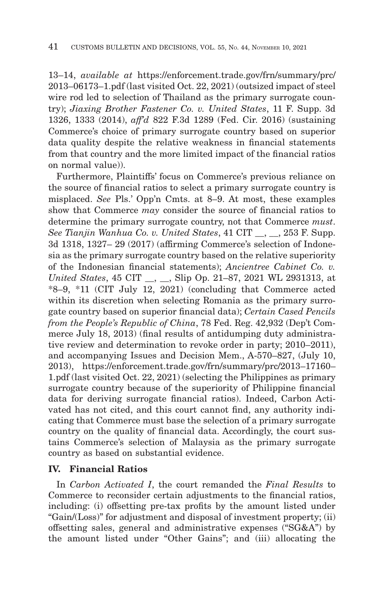13–14, *available at* https://enforcement.trade.gov/frn/summary/prc/ 2013–06173–1.pdf (last visited Oct. 22, 2021) (outsized impact of steel wire rod led to selection of Thailand as the primary surrogate country); *Jiaxing Brother Fastener Co. v. United States*, 11 F. Supp. 3d 1326, 1333 (2014), *aff'd* 822 F.3d 1289 (Fed. Cir. 2016) (sustaining Commerce's choice of primary surrogate country based on superior data quality despite the relative weakness in financial statements from that country and the more limited impact of the financial ratios on normal value)).

Furthermore, Plaintiffs' focus on Commerce's previous reliance on the source of financial ratios to select a primary surrogate country is misplaced. *See* Pls.' Opp'n Cmts. at 8–9. At most, these examples show that Commerce *may* consider the source of financial ratios to determine the primary surrogate country, not that Commerce *must*. *See Tianjin Wanhua Co. v. United States*, 41 CIT \_\_, \_\_, 253 F. Supp. 3d 1318, 1327– 29 (2017) (affirming Commerce's selection of Indonesia as the primary surrogate country based on the relative superiority of the Indonesian financial statements); *Ancientree Cabinet Co. v. United States*, 45 CIT \_\_, \_\_, Slip Op. 21–87, 2021 WL 2931313, at \*8–9, \*11 (CIT July 12, 2021) (concluding that Commerce acted within its discretion when selecting Romania as the primary surrogate country based on superior financial data); *Certain Cased Pencils from the People's Republic of China*, 78 Fed. Reg. 42,932 (Dep't Commerce July 18, 2013) (final results of antidumping duty administrative review and determination to revoke order in party; 2010–2011), and accompanying Issues and Decision Mem., A-570–827, (July 10, 2013), https://enforcement.trade.gov/frn/summary/prc/2013–17160– 1.pdf (last visited Oct. 22, 2021) (selecting the Philippines as primary surrogate country because of the superiority of Philippine financial data for deriving surrogate financial ratios). Indeed, Carbon Activated has not cited, and this court cannot find, any authority indicating that Commerce must base the selection of a primary surrogate country on the quality of financial data. Accordingly, the court sustains Commerce's selection of Malaysia as the primary surrogate country as based on substantial evidence.

#### **IV. Financial Ratios**

In *Carbon Activated I*, the court remanded the *Final Results* to Commerce to reconsider certain adjustments to the financial ratios, including: (i) offsetting pre-tax profits by the amount listed under "Gain/(Loss)" for adjustment and disposal of investment property; (ii) offsetting sales, general and administrative expenses ("SG&A") by the amount listed under "Other Gains"; and (iii) allocating the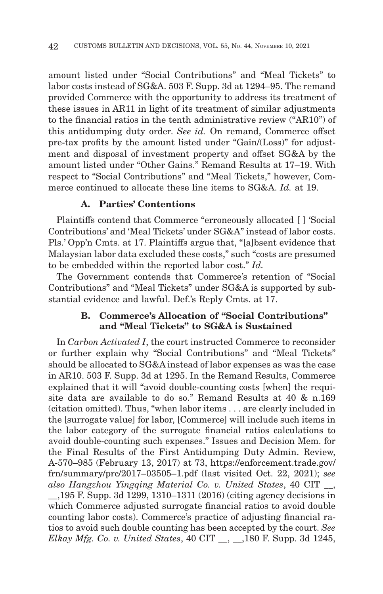amount listed under "Social Contributions" and "Meal Tickets" to labor costs instead of SG&A. 503 F. Supp. 3d at 1294–95. The remand provided Commerce with the opportunity to address its treatment of these issues in AR11 in light of its treatment of similar adjustments to the financial ratios in the tenth administrative review ("AR10") of this antidumping duty order. *See id.* On remand, Commerce offset pre-tax profits by the amount listed under "Gain/(Loss)" for adjustment and disposal of investment property and offset SG&A by the amount listed under "Other Gains." Remand Results at 17–19. With respect to "Social Contributions" and "Meal Tickets," however, Commerce continued to allocate these line items to SG&A. *Id.* at 19.

#### **A. Parties' Contentions**

Plaintiffs contend that Commerce "erroneously allocated [ ] 'Social Contributions' and 'Meal Tickets' under SG&A" instead of labor costs. Pls.' Opp'n Cmts. at 17. Plaintiffs argue that, "[a]bsent evidence that Malaysian labor data excluded these costs," such "costs are presumed to be embedded within the reported labor cost." *Id.*

The Government contends that Commerce's retention of "Social Contributions" and "Meal Tickets" under SG&A is supported by substantial evidence and lawful. Def.'s Reply Cmts. at 17.

#### **B. Commerce's Allocation of "Social Contributions" and "Meal Tickets" to SG&A is Sustained**

In *Carbon Activated I*, the court instructed Commerce to reconsider or further explain why "Social Contributions" and "Meal Tickets" should be allocated to SG&A instead of labor expenses as was the case in AR10. 503 F. Supp. 3d at 1295. In the Remand Results, Commerce explained that it will "avoid double-counting costs [when] the requisite data are available to do so." Remand Results at 40 & n.169 (citation omitted). Thus, "when labor items . . . are clearly included in the [surrogate value] for labor, [Commerce] will include such items in the labor category of the surrogate financial ratios calculations to avoid double-counting such expenses." Issues and Decision Mem. for the Final Results of the First Antidumping Duty Admin. Review, A-570–985 (February 13, 2017) at 73, https://enforcement.trade.gov/ frn/summary/prc/2017–03505–1.pdf (last visited Oct. 22, 2021); *see also Hangzhou Yingqing Material Co. v. United States*, 40 CIT \_\_, \_\_,195 F. Supp. 3d 1299, 1310–1311 (2016) (citing agency decisions in which Commerce adjusted surrogate financial ratios to avoid double counting labor costs). Commerce's practice of adjusting financial ratios to avoid such double counting has been accepted by the court. *See Elkay Mfg. Co. v. United States*, 40 CIT \_\_, \_\_,180 F. Supp. 3d 1245,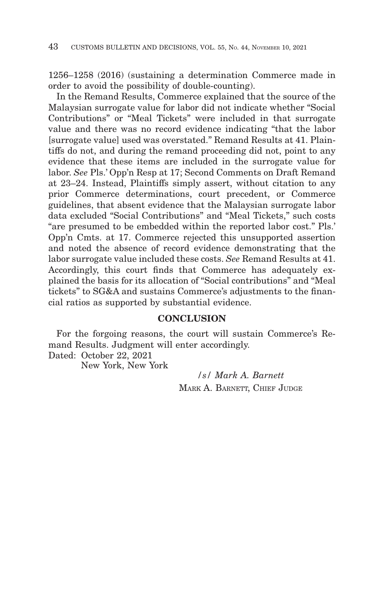1256–1258 (2016) (sustaining a determination Commerce made in order to avoid the possibility of double-counting).

In the Remand Results, Commerce explained that the source of the Malaysian surrogate value for labor did not indicate whether "Social Contributions" or "Meal Tickets" were included in that surrogate value and there was no record evidence indicating "that the labor [surrogate value] used was overstated." Remand Results at 41. Plaintiffs do not, and during the remand proceeding did not, point to any evidence that these items are included in the surrogate value for labor. *See* Pls.' Opp'n Resp at 17; Second Comments on Draft Remand at 23–24. Instead, Plaintiffs simply assert, without citation to any prior Commerce determinations, court precedent, or Commerce guidelines, that absent evidence that the Malaysian surrogate labor data excluded "Social Contributions" and "Meal Tickets," such costs "are presumed to be embedded within the reported labor cost." Pls.' Opp'n Cmts. at 17. Commerce rejected this unsupported assertion and noted the absence of record evidence demonstrating that the labor surrogate value included these costs. *See* Remand Results at 41. Accordingly, this court finds that Commerce has adequately explained the basis for its allocation of "Social contributions" and "Meal tickets" to SG&A and sustains Commerce's adjustments to the financial ratios as supported by substantial evidence.

#### **CONCLUSION**

For the forgoing reasons, the court will sustain Commerce's Remand Results. Judgment will enter accordingly.

Dated: October 22, 2021

New York, New York

*/s/ Mark A. Barnett* MARK A. BARNETT, CHIEF JUDGE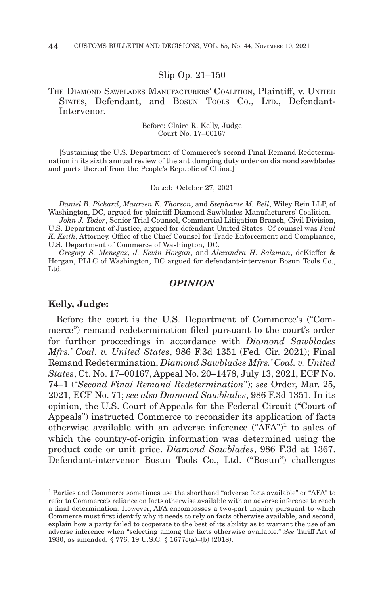#### Slip Op. 21–150

#### THE DIAMOND SAWBLADES MANUFACTURERS' COALITION, Plaintiff, v. UNITED STATES, Defendant, and BOSUN TOOLS CO., LTD., Defendant-Intervenor.

Before: Claire R. Kelly, Judge Court No. 17–00167

[Sustaining the U.S. Department of Commerce's second Final Remand Redetermination in its sixth annual review of the antidumping duty order on diamond sawblades and parts thereof from the People's Republic of China.]

Dated: October 27, 2021

*Daniel B. Pickard*, *Maureen E. Thorson*, and *Stephanie M. Bell*, Wiley Rein LLP, of Washington, DC, argued for plaintiff Diamond Sawblades Manufacturers' Coalition.

*John J. Todor*, Senior Trial Counsel, Commercial Litigation Branch, Civil Division, U.S. Department of Justice, argued for defendant United States. Of counsel was *Paul K. Keith*, Attorney, Office of the Chief Counsel for Trade Enforcement and Compliance, U.S. Department of Commerce of Washington, DC.

*Gregory S. Menegaz*, *J. Kevin Horgan*, and *Alexandra H. Salzman*, deKieffer & Horgan, PLLC of Washington, DC argued for defendant-intervenor Bosun Tools Co., Ltd.

#### *OPINION*

#### **Kelly, Judge:**

Before the court is the U.S. Department of Commerce's ("Commerce") remand redetermination filed pursuant to the court's order for further proceedings in accordance with *Diamond Sawblades Mfrs.' Coal. v. United States*, 986 F.3d 1351 (Fed. Cir. 2021); Final Remand Redetermination, *Diamond Sawblades Mfrs.' Coal. v. United States*, Ct. No. 17–00167, Appeal No. 20–1478, July 13, 2021, ECF No. 74–1 ("*Second Final Remand Redetermination*"); *see* Order, Mar. 25, 2021, ECF No. 71; *see also Diamond Sawblades*, 986 F.3d 1351. In its opinion, the U.S. Court of Appeals for the Federal Circuit ("Court of Appeals") instructed Commerce to reconsider its application of facts otherwise available with an adverse inference ("AFA")<sup>1</sup> to sales of which the country-of-origin information was determined using the product code or unit price. *Diamond Sawblades*, 986 F.3d at 1367. Defendant-intervenor Bosun Tools Co., Ltd. ("Bosun") challenges

 $1$  Parties and Commerce sometimes use the shorthand "adverse facts available" or "AFA" to refer to Commerce's reliance on facts otherwise available with an adverse inference to reach a final determination. However, AFA encompasses a two-part inquiry pursuant to which Commerce must first identify why it needs to rely on facts otherwise available, and second, explain how a party failed to cooperate to the best of its ability as to warrant the use of an adverse inference when "selecting among the facts otherwise available." *See* Tariff Act of 1930, as amended, § 776, 19 U.S.C. § 1677e(a)–(b) (2018).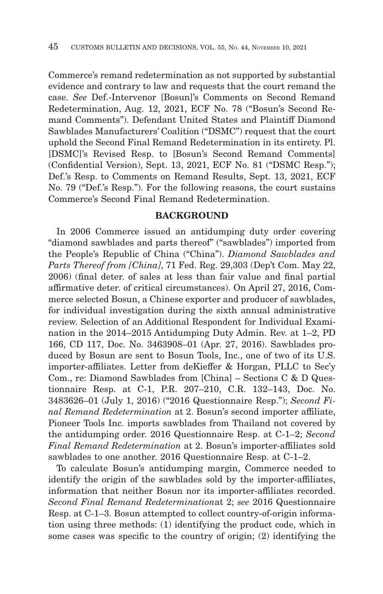Commerce's remand redetermination as not supported by substantial evidence and contrary to law and requests that the court remand the case. *See* Def.-Intervenor [Bosun]'s Comments on Second Remand Redetermination, Aug. 12, 2021, ECF No. 78 ("Bosun's Second Remand Comments"). Defendant United States and Plaintiff Diamond Sawblades Manufacturers' Coalition ("DSMC") request that the court uphold the Second Final Remand Redetermination in its entirety. Pl. [DSMC]'s Revised Resp. to [Bosun's Second Remand Comments] (Confidential Version), Sept. 13, 2021, ECF No. 81 ("DSMC Resp."); Def.'s Resp. to Comments on Remand Results, Sept. 13, 2021, ECF No. 79 ("Def.'s Resp."). For the following reasons, the court sustains Commerce's Second Final Remand Redetermination.

#### **BACKGROUND**

In 2006 Commerce issued an antidumping duty order covering "diamond sawblades and parts thereof" ("sawblades") imported from the People's Republic of China ("China"). *Diamond Sawblades and Parts Thereof from [China]*, 71 Fed. Reg. 29,303 (Dep't Com. May 22, 2006) (final deter. of sales at less than fair value and final partial affirmative deter. of critical circumstances). On April 27, 2016, Commerce selected Bosun, a Chinese exporter and producer of sawblades, for individual investigation during the sixth annual administrative review. Selection of an Additional Respondent for Individual Examination in the 2014–2015 Antidumping Duty Admin. Rev. at 1–2, PD 166, CD 117, Doc. No. 3463908–01 (Apr. 27, 2016). Sawblades produced by Bosun are sent to Bosun Tools, Inc., one of two of its U.S. importer-affiliates. Letter from deKieffer & Horgan, PLLC to Sec'y Com., re: Diamond Sawblades from [China] – Sections C & D Questionnaire Resp. at C-1, P.R. 207–210, C.R. 132–143, Doc. No. 3483626–01 (July 1, 2016) ("2016 Questionnaire Resp."); *Second Final Remand Redetermination* at 2. Bosun's second importer affiliate, Pioneer Tools Inc. imports sawblades from Thailand not covered by the antidumping order. 2016 Questionnaire Resp. at C-1–2; *Second Final Remand Redetermination* at 2. Bosun's importer-affiliates sold sawblades to one another. 2016 Questionnaire Resp. at C-1–2.

To calculate Bosun's antidumping margin, Commerce needed to identify the origin of the sawblades sold by the importer-affiliates, information that neither Bosun nor its importer-affiliates recorded. *Second Final Remand Redetermination*at 2; *see* 2016 Questionnaire Resp. at C-1–3. Bosun attempted to collect country-of-origin information using three methods: (1) identifying the product code, which in some cases was specific to the country of origin; (2) identifying the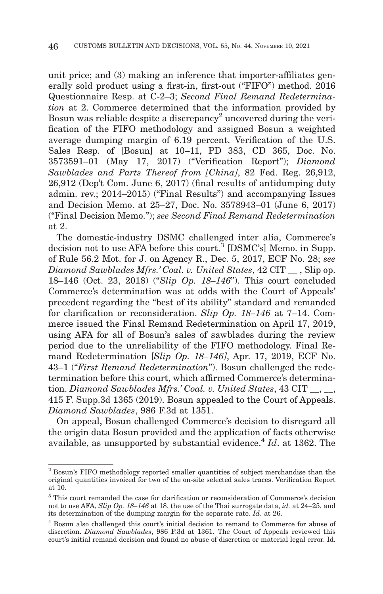unit price; and (3) making an inference that importer-affiliates generally sold product using a first-in, first-out ("FIFO") method. 2016 Questionnaire Resp. at C-2–3; *Second Final Remand Redetermination* at 2. Commerce determined that the information provided by Bosun was reliable despite a discrepancy<sup>2</sup> uncovered during the verification of the FIFO methodology and assigned Bosun a weighted average dumping margin of 6.19 percent. Verification of the U.S. Sales Resp. of [Bosun] at 10–11, PD 383, CD 365, Doc. No. 3573591–01 (May 17, 2017) ("Verification Report"); *Diamond Sawblades and Parts Thereof from [China]*, 82 Fed. Reg. 26,912, 26,912 (Dep't Com. June 6, 2017) (final results of antidumping duty admin. rev.; 2014–2015) ("Final Results") and accompanying Issues and Decision Memo. at 25–27, Doc. No. 3578943–01 (June 6, 2017) ("Final Decision Memo."); *see Second Final Remand Redetermination* at 2.

The domestic-industry DSMC challenged inter alia, Commerce's decision not to use AFA before this court.<sup>3</sup> [DSMC's] Memo. in Supp. of Rule 56.2 Mot. for J. on Agency R., Dec. 5, 2017, ECF No. 28; *see Diamond Sawblades Mfrs.' Coal. v. United States*, 42 CIT \_\_ , Slip op. 18–146 (Oct. 23, 2018) ("*Slip Op. 18–146*"). This court concluded Commerce's determination was at odds with the Court of Appeals' precedent regarding the "best of its ability" standard and remanded for clarification or reconsideration. *Slip Op. 18–146* at 7–14. Commerce issued the Final Remand Redetermination on April 17, 2019, using AFA for all of Bosun's sales of sawblades during the review period due to the unreliability of the FIFO methodology. Final Remand Redetermination [*Slip Op. 18–146]*, Apr. 17, 2019, ECF No. 43–1 ("*First Remand Redetermination*"). Bosun challenged the redetermination before this court, which affirmed Commerce's determination. *Diamond Sawblades Mfrs.' Coal. v. United States*, 43 CIT  $\,$ ,  $\,$ 415 F. Supp.3d 1365 (2019). Bosun appealed to the Court of Appeals. *Diamond Sawblades*, 986 F.3d at 1351.

On appeal, Bosun challenged Commerce's decision to disregard all the origin data Bosun provided and the application of facts otherwise available, as unsupported by substantial evidence.<sup>4</sup> *Id*. at 1362. The

<sup>&</sup>lt;sup>2</sup> Bosun's FIFO methodology reported smaller quantities of subject merchandise than the original quantities invoiced for two of the on-site selected sales traces. Verification Report at 10.

<sup>3</sup> This court remanded the case for clarification or reconsideration of Commerce's decision not to use AFA, *Slip Op. 18–146* at 18, the use of the Thai surrogate data, *id.* at 24–25, and its determination of the dumping margin for the separate rate. *Id*. at 26.

<sup>4</sup> Bosun also challenged this court's initial decision to remand to Commerce for abuse of discretion. *Diamond Sawblades*, 986 F.3d at 1361. The Court of Appeals reviewed this court's initial remand decision and found no abuse of discretion or material legal error. Id.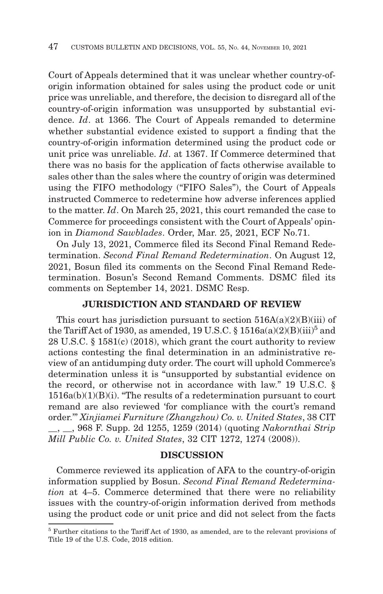Court of Appeals determined that it was unclear whether country-oforigin information obtained for sales using the product code or unit price was unreliable, and therefore, the decision to disregard all of the country-of-origin information was unsupported by substantial evidence. *Id*. at 1366. The Court of Appeals remanded to determine whether substantial evidence existed to support a finding that the country-of-origin information determined using the product code or unit price was unreliable. *Id*. at 1367. If Commerce determined that there was no basis for the application of facts otherwise available to sales other than the sales where the country of origin was determined using the FIFO methodology ("FIFO Sales"), the Court of Appeals instructed Commerce to redetermine how adverse inferences applied to the matter. *Id*. On March 25, 2021, this court remanded the case to Commerce for proceedings consistent with the Court of Appeals' opinion in *Diamond Sawblades*. Order, Mar. 25, 2021, ECF No.71.

On July 13, 2021, Commerce filed its Second Final Remand Redetermination. *Second Final Remand Redetermination*. On August 12, 2021, Bosun filed its comments on the Second Final Remand Redetermination. Bosun's Second Remand Comments. DSMC filed its comments on September 14, 2021. DSMC Resp.

#### **JURISDICTION AND STANDARD OF REVIEW**

This court has jurisdiction pursuant to section  $516A(a)(2)(B)(iii)$  of the Tariff Act of 1930, as amended, 19 U.S.C. §  $1516a(a)(2)(B)(iii)^5$  and 28 U.S.C. § 1581(c) (2018), which grant the court authority to review actions contesting the final determination in an administrative review of an antidumping duty order. The court will uphold Commerce's determination unless it is "unsupported by substantial evidence on the record, or otherwise not in accordance with law." 19 U.S.C. §  $1516a(b)(1)(B)(i)$ . "The results of a redetermination pursuant to court remand are also reviewed 'for compliance with the court's remand order.'" *Xinjiamei Furniture (Zhangzhou) Co. v. United States*, 38 CIT \_\_, \_\_, 968 F. Supp. 2d 1255, 1259 (2014) (quoting *Nakornthai Strip Mill Public Co. v. United States*, 32 CIT 1272, 1274 (2008)).

#### **DISCUSSION**

Commerce reviewed its application of AFA to the country-of-origin information supplied by Bosun. *Second Final Remand Redetermination* at 4–5. Commerce determined that there were no reliability issues with the country-of-origin information derived from methods using the product code or unit price and did not select from the facts

<sup>5</sup> Further citations to the Tariff Act of 1930, as amended, are to the relevant provisions of Title 19 of the U.S. Code, 2018 edition.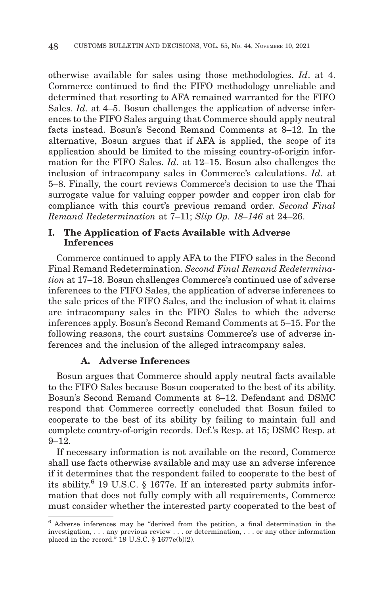otherwise available for sales using those methodologies. *Id*. at 4. Commerce continued to find the FIFO methodology unreliable and determined that resorting to AFA remained warranted for the FIFO Sales. *Id*. at 4–5. Bosun challenges the application of adverse inferences to the FIFO Sales arguing that Commerce should apply neutral facts instead. Bosun's Second Remand Comments at 8–12. In the alternative, Bosun argues that if AFA is applied, the scope of its application should be limited to the missing country-of-origin information for the FIFO Sales. *Id*. at 12–15. Bosun also challenges the inclusion of intracompany sales in Commerce's calculations. *Id*. at 5–8. Finally, the court reviews Commerce's decision to use the Thai surrogate value for valuing copper powder and copper iron clab for compliance with this court's previous remand order. *Second Final Remand Redetermination* at 7–11; *Slip Op. 18–146* at 24–26.

#### **I. The Application of Facts Available with Adverse Inferences**

Commerce continued to apply AFA to the FIFO sales in the Second Final Remand Redetermination. *Second Final Remand Redetermination* at 17–18. Bosun challenges Commerce's continued use of adverse inferences to the FIFO Sales, the application of adverse inferences to the sale prices of the FIFO Sales, and the inclusion of what it claims are intracompany sales in the FIFO Sales to which the adverse inferences apply. Bosun's Second Remand Comments at 5–15. For the following reasons, the court sustains Commerce's use of adverse inferences and the inclusion of the alleged intracompany sales.

#### **A. Adverse Inferences**

Bosun argues that Commerce should apply neutral facts available to the FIFO Sales because Bosun cooperated to the best of its ability. Bosun's Second Remand Comments at 8–12. Defendant and DSMC respond that Commerce correctly concluded that Bosun failed to cooperate to the best of its ability by failing to maintain full and complete country-of-origin records. Def.'s Resp. at 15; DSMC Resp. at  $9 - 12.$ 

If necessary information is not available on the record, Commerce shall use facts otherwise available and may use an adverse inference if it determines that the respondent failed to cooperate to the best of its ability. 6 19 U.S.C. § 1677e. If an interested party submits information that does not fully comply with all requirements, Commerce must consider whether the interested party cooperated to the best of

<sup>6</sup> Adverse inferences may be "derived from the petition, a final determination in the investigation, . . . any previous review . . . or determination, . . . or any other information placed in the record." 19 U.S.C. § 1677e(b)(2).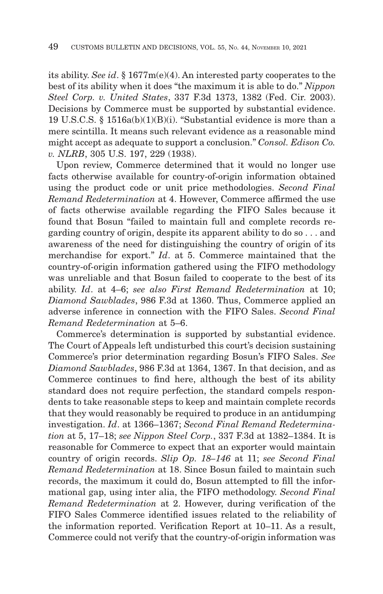its ability. *See id*. § 1677m(e)(4). An interested party cooperates to the best of its ability when it does "the maximum it is able to do." *Nippon Steel Corp. v. United States*, 337 F.3d 1373, 1382 (Fed. Cir. 2003). Decisions by Commerce must be supported by substantial evidence. 19 U.S.C.S. § 1516a(b)(1)(B)(i). "Substantial evidence is more than a mere scintilla. It means such relevant evidence as a reasonable mind might accept as adequate to support a conclusion." *Consol. Edison Co. v. NLRB*, 305 U.S. 197, 229 (1938).

Upon review, Commerce determined that it would no longer use facts otherwise available for country-of-origin information obtained using the product code or unit price methodologies. *Second Final Remand Redetermination* at 4. However, Commerce affirmed the use of facts otherwise available regarding the FIFO Sales because it found that Bosun "failed to maintain full and complete records regarding country of origin, despite its apparent ability to do so . . . and awareness of the need for distinguishing the country of origin of its merchandise for export." *Id*. at 5. Commerce maintained that the country-of-origin information gathered using the FIFO methodology was unreliable and that Bosun failed to cooperate to the best of its ability. *Id*. at 4–6; *see also First Remand Redetermination* at 10; *Diamond Sawblades*, 986 F.3d at 1360. Thus, Commerce applied an adverse inference in connection with the FIFO Sales. *Second Final Remand Redetermination* at 5–6.

Commerce's determination is supported by substantial evidence. The Court of Appeals left undisturbed this court's decision sustaining Commerce's prior determination regarding Bosun's FIFO Sales. *See Diamond Sawblades*, 986 F.3d at 1364, 1367. In that decision, and as Commerce continues to find here, although the best of its ability standard does not require perfection, the standard compels respondents to take reasonable steps to keep and maintain complete records that they would reasonably be required to produce in an antidumping investigation. *Id*. at 1366–1367; *Second Final Remand Redetermination* at 5, 17–18; *see Nippon Steel Corp.*, 337 F.3d at 1382–1384. It is reasonable for Commerce to expect that an exporter would maintain country of origin records. *Slip Op. 18–146* at 11; *see Second Final Remand Redetermination* at 18. Since Bosun failed to maintain such records, the maximum it could do, Bosun attempted to fill the informational gap, using inter alia, the FIFO methodology. *Second Final Remand Redetermination* at 2. However, during verification of the FIFO Sales Commerce identified issues related to the reliability of the information reported. Verification Report at 10–11. As a result, Commerce could not verify that the country-of-origin information was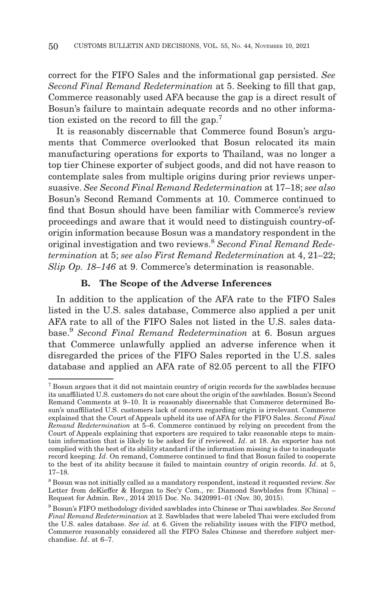correct for the FIFO Sales and the informational gap persisted. *See Second Final Remand Redetermination* at 5. Seeking to fill that gap, Commerce reasonably used AFA because the gap is a direct result of Bosun's failure to maintain adequate records and no other information existed on the record to fill the gap.7

It is reasonably discernable that Commerce found Bosun's arguments that Commerce overlooked that Bosun relocated its main manufacturing operations for exports to Thailand, was no longer a top tier Chinese exporter of subject goods, and did not have reason to contemplate sales from multiple origins during prior reviews unpersuasive. *See Second Final Remand Redetermination* at 17–18; *see also* Bosun's Second Remand Comments at 10. Commerce continued to find that Bosun should have been familiar with Commerce's review proceedings and aware that it would need to distinguish country-oforigin information because Bosun was a mandatory respondent in the original investigation and two reviews.8 *Second Final Remand Redetermination* at 5; *see also First Remand Redetermination* at 4, 21–22; *Slip Op. 18–146* at 9. Commerce's determination is reasonable.

#### **B. The Scope of the Adverse Inferences**

In addition to the application of the AFA rate to the FIFO Sales listed in the U.S. sales database, Commerce also applied a per unit AFA rate to all of the FIFO Sales not listed in the U.S. sales database.9 *Second Final Remand Redetermination* at 6. Bosun argues that Commerce unlawfully applied an adverse inference when it disregarded the prices of the FIFO Sales reported in the U.S. sales database and applied an AFA rate of 82.05 percent to all the FIFO

<sup>7</sup> Bosun argues that it did not maintain country of origin records for the sawblades because its unaffiliated U.S. customers do not care about the origin of the sawblades. Bosun's Second Remand Comments at 9–10. It is reasonably discernable that Commerce determined Bosun's unaffiliated U.S. customers lack of concern regarding origin is irrelevant. Commerce explained that the Court of Appeals upheld its use of AFA for the FIFO Sales. *Second Final Remand Redetermination* at 5–6. Commerce continued by relying on precedent from the Court of Appeals explaining that exporters are required to take reasonable steps to maintain information that is likely to be asked for if reviewed. *Id*. at 18. An exporter has not complied with the best of its ability standard if the information missing is due to inadequate record keeping. *Id*. On remand, Commerce continued to find that Bosun failed to cooperate to the best of its ability because it failed to maintain country of origin records. *Id*. at 5, 17–18.

<sup>8</sup> Bosun was not initially called as a mandatory respondent, instead it requested review. *See* Letter from deKieffer & Horgan to Sec'y Com., re: Diamond Sawblades from [China] – Request for Admin. Rev., 2014 2015 Doc. No. 3420991–01 (Nov. 30, 2015).

<sup>9</sup> Bosun's FIFO methodology divided sawblades into Chinese or Thai sawblades. *See Second Final Remand Redetermination* at 2. Sawblades that were labeled Thai were excluded from the U.S. sales database. *See id.* at 6. Given the reliability issues with the FIFO method, Commerce reasonably considered all the FIFO Sales Chinese and therefore subject merchandise. *Id*. at 6–7.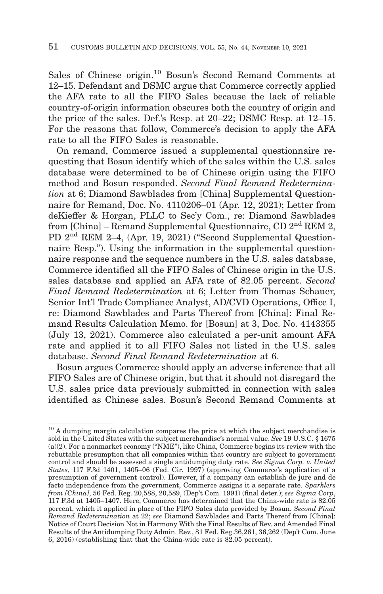Sales of Chinese origin.10 Bosun's Second Remand Comments at 12–15. Defendant and DSMC argue that Commerce correctly applied the AFA rate to all the FIFO Sales because the lack of reliable country-of-origin information obscures both the country of origin and the price of the sales. Def.'s Resp. at 20–22; DSMC Resp. at 12–15. For the reasons that follow, Commerce's decision to apply the AFA rate to all the FIFO Sales is reasonable.

On remand, Commerce issued a supplemental questionnaire requesting that Bosun identify which of the sales within the U.S. sales database were determined to be of Chinese origin using the FIFO method and Bosun responded. *Second Final Remand Redetermination* at 6; Diamond Sawblades from [China] Supplemental Questionnaire for Remand, Doc. No. 4110206–01 (Apr. 12, 2021); Letter from deKieffer & Horgan, PLLC to Sec'y Com., re: Diamond Sawblades from [China] – Remand Supplemental Questionnaire, CD  $2<sup>nd</sup>$  REM 2, PD 2nd REM 2–4, (Apr. 19, 2021) ("Second Supplemental Questionnaire Resp."). Using the information in the supplemental questionnaire response and the sequence numbers in the U.S. sales database, Commerce identified all the FIFO Sales of Chinese origin in the U.S. sales database and applied an AFA rate of 82.05 percent. *Second Final Remand Redetermination* at 6; Letter from Thomas Schauer, Senior Int'l Trade Compliance Analyst, AD/CVD Operations, Office I, re: Diamond Sawblades and Parts Thereof from [China]: Final Remand Results Calculation Memo. for [Bosun] at 3, Doc. No. 4143355 (July 13, 2021). Commerce also calculated a per-unit amount AFA rate and applied it to all FIFO Sales not listed in the U.S. sales database. *Second Final Remand Redetermination* at 6.

Bosun argues Commerce should apply an adverse inference that all FIFO Sales are of Chinese origin, but that it should not disregard the U.S. sales price data previously submitted in connection with sales identified as Chinese sales. Bosun's Second Remand Comments at

 $10$  A dumping margin calculation compares the price at which the subject merchandise is sold in the United States with the subject merchandise's normal value. *See* 19 U.S.C. § 1675  $(a)(2)$ . For a nonmarket economy ("NME"), like China, Commerce begins its review with the rebuttable presumption that all companies within that country are subject to government control and should be assessed a single antidumping duty rate. *See Sigma Corp. v. United States*, 117 F.3d 1401, 1405–06 (Fed. Cir. 1997) (approving Commerce's application of a presumption of government control). However, if a company can establish de jure and de facto independence from the government, Commerce assigns it a separate rate. *Sparklers from [China]*, 56 Fed. Reg. 20,588, 20,589, (Dep't Com. 1991) (final deter.); *see Sigma Corp*, 117 F.3d at 1405–1407. Here, Commerce has determined that the China-wide rate is 82.05 percent, which it applied in place of the FIFO Sales data provided by Bosun. *Second Final Remand Redetermination* at 22; *see* Diamond Sawblades and Parts Thereof from [China]: Notice of Court Decision Not in Harmony With the Final Results of Rev. and Amended Final Results of the Antidumping Duty Admin. Rev., 81 Fed. Reg.36,261, 36,262 (Dep't Com. June 6, 2016) (establishing that that the China-wide rate is 82.05 percent).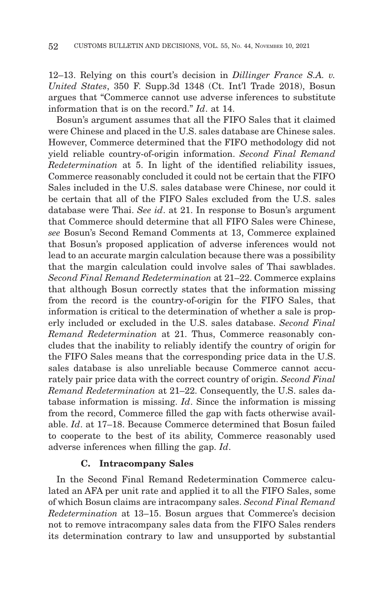12–13. Relying on this court's decision in *Dillinger France S.A. v. United States*, 350 F. Supp.3d 1348 (Ct. Int'l Trade 2018), Bosun argues that "Commerce cannot use adverse inferences to substitute information that is on the record." *Id*. at 14.

Bosun's argument assumes that all the FIFO Sales that it claimed were Chinese and placed in the U.S. sales database are Chinese sales. However, Commerce determined that the FIFO methodology did not yield reliable country-of-origin information. *Second Final Remand Redetermination* at 5. In light of the identified reliability issues, Commerce reasonably concluded it could not be certain that the FIFO Sales included in the U.S. sales database were Chinese, nor could it be certain that all of the FIFO Sales excluded from the U.S. sales database were Thai. *See id*. at 21. In response to Bosun's argument that Commerce should determine that all FIFO Sales were Chinese, *see* Bosun's Second Remand Comments at 13, Commerce explained that Bosun's proposed application of adverse inferences would not lead to an accurate margin calculation because there was a possibility that the margin calculation could involve sales of Thai sawblades. *Second Final Remand Redetermination* at 21–22. Commerce explains that although Bosun correctly states that the information missing from the record is the country-of-origin for the FIFO Sales, that information is critical to the determination of whether a sale is properly included or excluded in the U.S. sales database. *Second Final Remand Redetermination* at 21. Thus, Commerce reasonably concludes that the inability to reliably identify the country of origin for the FIFO Sales means that the corresponding price data in the U.S. sales database is also unreliable because Commerce cannot accurately pair price data with the correct country of origin. *Second Final Remand Redetermination* at 21–22. Consequently, the U.S. sales database information is missing. *Id*. Since the information is missing from the record, Commerce filled the gap with facts otherwise available. *Id*. at 17–18. Because Commerce determined that Bosun failed to cooperate to the best of its ability, Commerce reasonably used adverse inferences when filling the gap. *Id*.

#### **C. Intracompany Sales**

In the Second Final Remand Redetermination Commerce calculated an AFA per unit rate and applied it to all the FIFO Sales, some of which Bosun claims are intracompany sales. *Second Final Remand Redetermination* at 13–15. Bosun argues that Commerce's decision not to remove intracompany sales data from the FIFO Sales renders its determination contrary to law and unsupported by substantial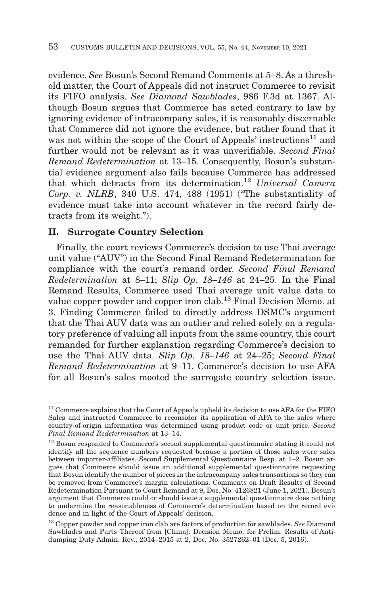evidence. *See* Bosun's Second Remand Comments at 5–8. As a threshold matter, the Court of Appeals did not instruct Commerce to revisit its FIFO analysis. *See Diamond Sawblades*, 986 F.3d at 1367. Although Bosun argues that Commerce has acted contrary to law by ignoring evidence of intracompany sales, it is reasonably discernable that Commerce did not ignore the evidence, but rather found that it was not within the scope of the Court of Appeals' instructions<sup>11</sup> and further would not be relevant as it was unverifiable. *Second Final Remand Redetermination* at 13–15. Consequently, Bosun's substantial evidence argument also fails because Commerce has addressed that which detracts from its determination.12 *Universal Camera Corp. v. NLRB*, 340 U.S. 474, 488 (1951) ("The substantiality of evidence must take into account whatever in the record fairly detracts from its weight.").

#### **II. Surrogate Country Selection**

Finally, the court reviews Commerce's decision to use Thai average unit value ("AUV") in the Second Final Remand Redetermination for compliance with the court's remand order. *Second Final Remand Redetermination* at 8–11; *Slip Op. 18–146* at 24–25. In the Final Remand Results, Commerce used Thai average unit value data to value copper powder and copper iron clab.13 Final Decision Memo. at 3. Finding Commerce failed to directly address DSMC's argument that the Thai AUV data was an outlier and relied solely on a regulatory preference of valuing all inputs from the same country, this court remanded for further explanation regarding Commerce's decision to use the Thai AUV data. *Slip Op. 18–146* at 24–25; *Second Final Remand Redetermination* at 9–11. Commerce's decision to use AFA for all Bosun's sales mooted the surrogate country selection issue.

<sup>&</sup>lt;sup>11</sup> Commerce explains that the Court of Appeals upheld its decision to use AFA for the FIFO Sales and instructed Commerce to reconsider its application of AFA to the sales where country-of-origin information was determined using product code or unit price. *Second Final Remand Redetermination* at 13–14.

 $^{\rm 12}$  Bosun responded to Commerce's second supplemental questionnaire stating it could not identify all the sequence numbers requested because a portion of those sales were sales between importer-affiliates. Second Supplemental Questionnaire Resp. at 1–2. Bosun argues that Commerce should issue an additional supplemental questionnaire requesting that Bosun identify the number of pieces in the intracompany sales transactions so they can be removed from Commerce's margin calculations. Comments on Draft Results of Second Redetermination Pursuant to Court Remand at 9, Doc. No. 4126821 (June 1, 2021). Bosun's argument that Commerce could or should issue a supplemental questionnaire does nothing to undermine the reasonableness of Commerce's determination based on the record evidence and in light of the Court of Appeals' decision.

<sup>13</sup> Copper powder and copper iron clab are factors of production for sawblades. *See* Diamond Sawblades and Parts Thereof from [China]: Decision Memo. for Prelim. Results of Antidumping Duty Admin. Rev.; 2014–2015 at 2, Doc. No. 3527262–01 (Dec. 5, 2016).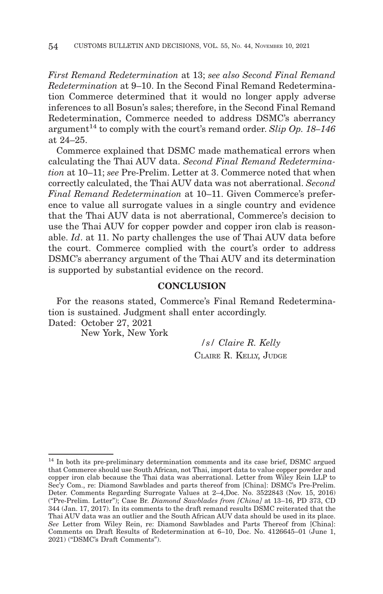*First Remand Redetermination* at 13; *see also Second Final Remand Redetermination* at 9–10. In the Second Final Remand Redetermination Commerce determined that it would no longer apply adverse inferences to all Bosun's sales; therefore, in the Second Final Remand Redetermination, Commerce needed to address DSMC's aberrancy argument<sup>14</sup> to comply with the court's remand order. *Slip Op. 18–146* at 24–25.

Commerce explained that DSMC made mathematical errors when calculating the Thai AUV data. *Second Final Remand Redetermination* at 10–11; *see* Pre-Prelim. Letter at 3. Commerce noted that when correctly calculated, the Thai AUV data was not aberrational. *Second Final Remand Redetermination* at 10–11. Given Commerce's preference to value all surrogate values in a single country and evidence that the Thai AUV data is not aberrational, Commerce's decision to use the Thai AUV for copper powder and copper iron clab is reasonable. *Id*. at 11. No party challenges the use of Thai AUV data before the court. Commerce complied with the court's order to address DSMC's aberrancy argument of the Thai AUV and its determination is supported by substantial evidence on the record.

#### **CONCLUSION**

For the reasons stated, Commerce's Final Remand Redetermination is sustained. Judgment shall enter accordingly. Dated: October 27, 2021

New York, New York

*/s/ Claire R. Kelly* CLAIRE R. KELLY, JUDGE

 $^\mathrm{14}$  In both its pre-preliminary determination comments and its case brief, DSMC argued that Commerce should use South African, not Thai, import data to value copper powder and copper iron clab because the Thai data was aberrational. Letter from Wiley Rein LLP to Sec'y Com., re: Diamond Sawblades and parts thereof from [China]: DSMC's Pre-Prelim. Deter. Comments Regarding Surrogate Values at 2–4,Doc. No. 3522843 (Nov. 15, 2016) ("Pre-Prelim. Letter"); Case Br. *Diamond Sawblades from [China]* at 13–16, PD 373, CD 344 (Jan. 17, 2017). In its comments to the draft remand results DSMC reiterated that the Thai AUV data was an outlier and the South African AUV data should be used in its place. *See* Letter from Wiley Rein, re: Diamond Sawblades and Parts Thereof from [China]: Comments on Draft Results of Redetermination at 6–10, Doc. No. 4126645–01 (June 1, 2021) ("DSMC's Draft Comments").